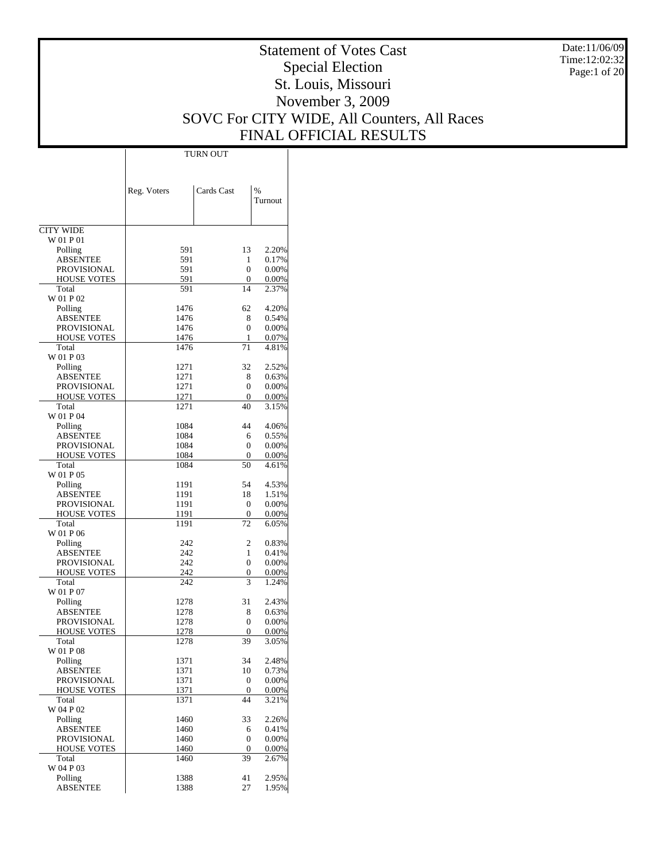Date:11/06/09 Time:12:02:32 Page:1 of 20

# Statement of Votes Cast Special Election St. Louis, Missouri November 3, 2009 SOVC For CITY WIDE, All Counters, All Races FINAL OFFICIAL RESULTS

 $\top$ 

|                                   | Reg. Voters  | Cards Cast       | $\%$           |
|-----------------------------------|--------------|------------------|----------------|
|                                   |              |                  | Turnout        |
| <b>CITY WIDE</b>                  |              |                  |                |
| W 01 P 01                         |              |                  |                |
| Polling                           | 591          | 13               | 2.20%          |
| <b>ABSENTEE</b><br>PROVISIONAL    | 591<br>591   | 1<br>0           | 0.17%          |
| <b>HOUSE VOTES</b>                | 591          | 0                | 0.00%<br>0.00% |
| Total                             | 591          | 14               | 2.37%          |
| W 01 P 02                         |              |                  |                |
| Polling                           | 1476         | 62               | 4.20%          |
| ABSENTEE                          | 1476         | 8                | 0.54%          |
| PROVISIONAL                       | 1476         | 0                | 0.00%          |
| <b>HOUSE VOTES</b><br>Total       | 1476<br>1476 | 1<br>71          | 0.07%<br>4.81% |
| W 01 P 03                         |              |                  |                |
| Polling                           | 1271         | 32               | 2.52%          |
| ABSENTEE                          | 1271         | 8                | 0.63%          |
| PROVISIONAL                       | 1271         | $\overline{0}$   | 0.00%          |
| <b>HOUSE VOTES</b>                | 1271         | 0                | 0.00%          |
| Total<br>W 01 P 04                | 1271         | 40               | 3.15%          |
| Polling                           | 1084         | 44               | 4.06%          |
| ABSENTEE                          | 1084         | 6                | 0.55%          |
| PROVISIONAL                       | 1084         | 0                | 0.00%          |
| <b>HOUSE VOTES</b>                | 1084         | 0                | 0.00%          |
| Total                             | 1084         | 50               | 4.61%          |
| W 01 P 05                         |              |                  |                |
| Polling<br>ABSENTEE               | 1191<br>1191 | 54<br>18         | 4.53%<br>1.51% |
| PROVISIONAL                       | 1191         | 0                | 0.00%          |
| <b>HOUSE VOTES</b>                | 1191         | 0                | 0.00%          |
| Total                             | 1191         | 72               | 6.05%          |
| W 01 P 06                         |              |                  |                |
| Polling                           | 242          | 2                | 0.83%          |
| ABSENTEE                          | 242          | 1                | 0.41%          |
| PROVISIONAL<br><b>HOUSE VOTES</b> | 242<br>242   | 0<br>0           | 0.00%<br>0.00% |
| Total                             | 242          | 3                | 1.24%          |
| W 01 P 07                         |              |                  |                |
| Polling                           | 1278         | 31               | 2.43%          |
| ABSENTEE                          | 1278         | 8                | 0.63%          |
| PROVISIONAL                       | 1278         | 0                | 0.00%          |
| <b>HOUSE VOTES</b><br>Total       | 1278<br>1278 | 0<br>39          | 0.00%          |
| W 01 P 08                         |              |                  | 3.05%          |
| Polling                           | 1371         | 34               | 2.48%          |
| <b>ABSENTEE</b>                   | 1371         | 10               | 0.73%          |
| PROVISIONAL                       | 1371         | $\boldsymbol{0}$ | 0.00%          |
| <b>HOUSE VOTES</b>                | 1371         | $\overline{0}$   | 0.00%          |
| Total                             | 1371         | 44               | 3.21%          |
| W 04 P 02<br>Polling              | 1460         | 33               | 2.26%          |
| <b>ABSENTEE</b>                   | 1460         | 6                | 0.41%          |
| <b>PROVISIONAL</b>                | 1460         | $\boldsymbol{0}$ | 0.00%          |
| <b>HOUSE VOTES</b>                | 1460         | 0                | 0.00%          |
| Total                             | 1460         | 39               | 2.67%          |
| W 04 P 03                         |              |                  |                |
| Polling                           | 1388         | 41               | 2.95%          |
| ABSENTEE                          | 1388         | 27               | 1.95%          |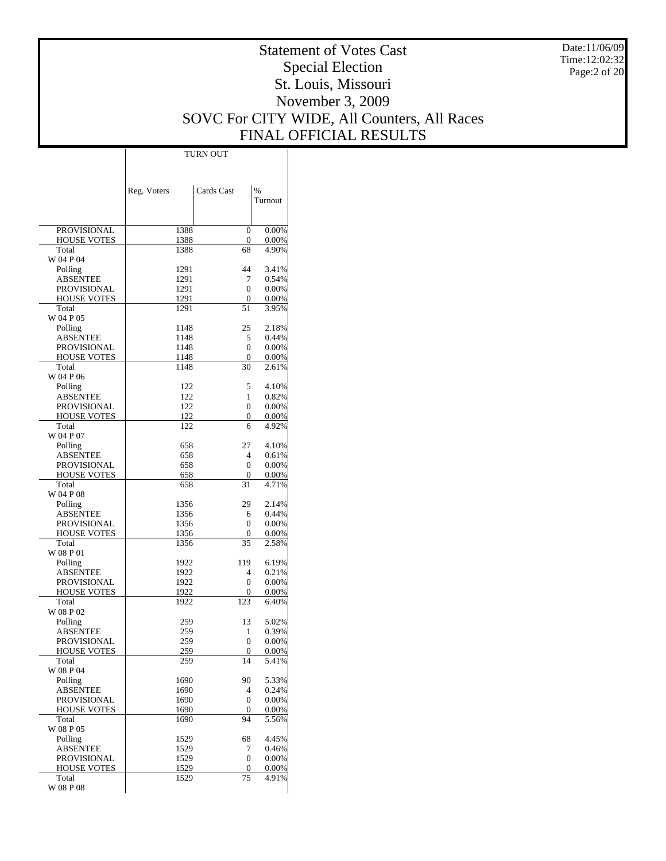Date:11/06/09 Time:12:02:32 Page:2 of 20

# Statement of Votes Cast Special Election St. Louis, Missouri November 3, 2009 SOVC For CITY WIDE, All Counters, All Races FINAL OFFICIAL RESULTS

|                                   | Reg. Voters  | Cards Cast                       | $\frac{0}{0}$        |
|-----------------------------------|--------------|----------------------------------|----------------------|
|                                   |              |                                  | Turnout              |
|                                   |              |                                  |                      |
| PROVISIONAL                       | 1388         | $\overline{0}$                   | $0.00\%$             |
| <b>HOUSE VOTES</b>                | 1388         | $\boldsymbol{0}$                 | $0.00\%$             |
| Total<br>W 04 P 04                | 1388         | 68                               | 4.90%                |
| Polling                           | 1291         | 44                               | 3.41%                |
| ABSENTEE                          | 1291         | 7                                | 0.54%                |
| PROVISIONAL                       | 1291         | $\overline{0}$                   | $0.00\%$             |
| <b>HOUSE VOTES</b>                | 1291         | 0                                | $0.00\%$             |
| Total                             | 1291         | 51                               | 3.95%                |
| W 04 P 05                         |              |                                  |                      |
| Polling<br>ABSENTEE               | 1148<br>1148 | 25<br>5                          | 2.18%<br>0.44%       |
| PROVISIONAL                       | 1148         | $\overline{0}$                   | $0.00\%$             |
| <b>HOUSE VOTES</b>                | 1148         | 0                                | $0.00\%$             |
| Total                             | 1148         | 30                               | 2.61%                |
| W 04 P 06                         |              |                                  |                      |
| Polling                           | 122          | 5                                | 4.10%                |
| ABSENTEE                          | 122          | 1                                | 0.82%                |
| PROVISIONAL<br><b>HOUSE VOTES</b> | 122<br>122   | $\overline{0}$<br>$\overline{0}$ | $0.00\%$<br>$0.00\%$ |
| Total                             | 122          | 6                                | 4.92%                |
| W 04 P 07                         |              |                                  |                      |
| Polling                           | 658          | 27                               | 4.10%                |
| ABSENTEE                          | 658          | 4                                | $0.61\%$             |
| PROVISIONAL                       | 658          | $\overline{0}$                   | $0.00\%$             |
| <b>HOUSE VOTES</b>                | 658          | 0                                | $0.00\%$             |
| Total<br>W 04 P 08                | 658          | 31                               | 4.71%                |
| Polling                           | 1356         | 29                               | 2.14%                |
| ABSENTEE                          | 1356         | 6                                | 0.44%                |
| PROVISIONAL                       | 1356         | $\mathbf{0}$                     | $0.00\%$             |
| <b>HOUSE VOTES</b>                | 1356         | 0                                | $0.00\%$             |
| Total                             | 1356         | 35                               | 2.58%                |
| W 08 P 01                         |              |                                  |                      |
| Polling                           | 1922         | 119                              | 6.19%                |
| ABSENTEE<br>PROVISIONAL           | 1922<br>1922 | 4<br>0                           | 0.21%<br>$0.00\%$    |
| <b>HOUSE VOTES</b>                | 1922         | 0                                | $0.00\%$             |
| Total                             | 1922         | 123                              | 6.40%                |
| W 08 P 02                         |              |                                  |                      |
| Polling                           | 259          | 13                               | 5.02%                |
| ABSENTEE                          | 259          | 1                                | 0.39%                |
| <b>PROVISIONAL</b>                | 259<br>259   | $\boldsymbol{0}$<br>$\Omega$     | 0.00%                |
| <b>HOUSE VOTES</b><br>Total       | 259          | 14                               | 0.00%<br>5.41%       |
| W 08 P 04                         |              |                                  |                      |
| Polling                           | 1690         | 90                               | 5.33%                |
| ABSENTEE                          | 1690         | 4                                | 0.24%                |
| PROVISIONAL                       | 1690         | $\boldsymbol{0}$                 | $0.00\%$             |
| <b>HOUSE VOTES</b>                | 1690         | 0                                | $0.00\%$             |
| Total                             | 1690         | 94                               | 5.56%                |
| W 08 P 05                         |              | 68                               | 4.45%                |
| Polling<br>ABSENTEE               | 1529<br>1529 | 7                                | 0.46%                |
| PROVISIONAL                       | 1529         | $\boldsymbol{0}$                 | $0.00\%$             |
| <b>HOUSE VOTES</b>                | 1529         | 0                                | $0.00\%$             |
| Total                             | 1529         | 75                               | 4.91%                |
| W 08 P 08                         |              |                                  |                      |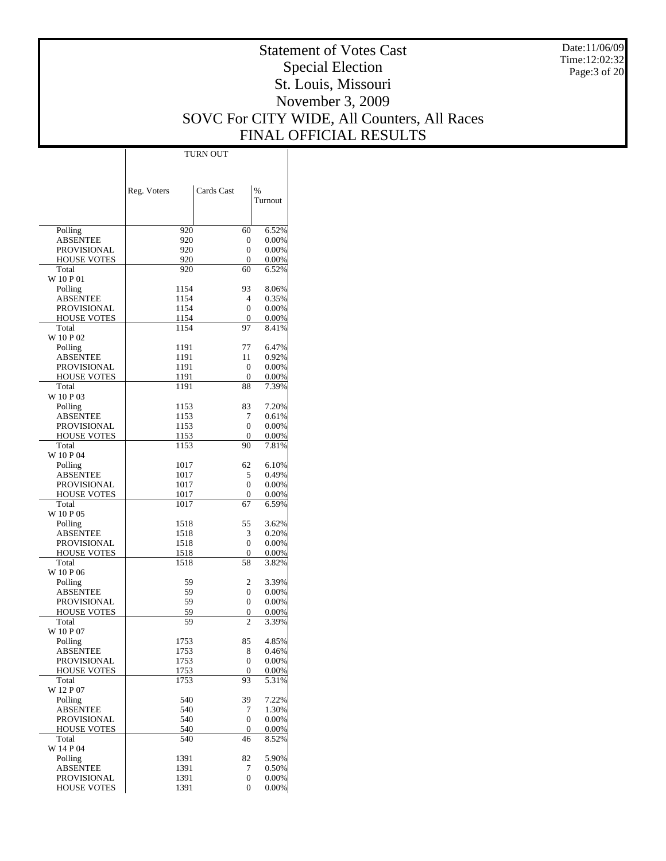Date:11/06/09 Time:12:02:32 Page:3 of 20

# Statement of Votes Cast Special Election St. Louis, Missouri November 3, 2009 SOVC For CITY WIDE, All Counters, All Races FINAL OFFICIAL RESULTS

Τ

|                                          | Reg. Voters  | Cards Cast          | $\%$              |
|------------------------------------------|--------------|---------------------|-------------------|
|                                          |              |                     | Turnout           |
|                                          |              |                     |                   |
| Polling                                  | 920          | 60                  | 6.52%<br>0.00%    |
| <b>ABSENTEE</b><br><b>PROVISIONAL</b>    | 920<br>920   | 0<br>0              | 0.00%             |
| <b>HOUSE VOTES</b>                       | 920          | 0                   | 0.00%             |
| Total                                    | 920          | 60                  | 6.52%             |
| W 10 P 01                                |              |                     |                   |
| Polling<br><b>ABSENTEE</b>               | 1154<br>1154 | 93<br>4             | 8.06%<br>0.35%    |
| <b>PROVISIONAL</b>                       | 1154         | $\mathbf{0}$        | 0.00%             |
| <b>HOUSE VOTES</b>                       | 1154         | 0                   | 0.00%             |
| Total                                    | 1154         | 97                  | 8.41%             |
| W 10 P 02                                |              |                     |                   |
| Polling<br><b>ABSENTEE</b>               | 1191<br>1191 | 77<br>11            | 6.47%<br>0.92%    |
| <b>PROVISIONAL</b>                       | 1191         | 0                   | 0.00%             |
| <b>HOUSE VOTES</b>                       | 1191         | 0                   | 0.00%             |
| Total                                    | 1191         | 88                  | 7.39%             |
| W 10 P 03                                |              |                     |                   |
| Polling                                  | 1153         | 83                  | 7.20%             |
| <b>ABSENTEE</b>                          | 1153         | 7                   | 0.61%             |
| <b>PROVISIONAL</b><br><b>HOUSE VOTES</b> | 1153<br>1153 | $\mathbf{0}$<br>0   | 0.00%<br>0.00%    |
| Total                                    | 1153         | 90                  | 7.81%             |
| W 10 P 04                                |              |                     |                   |
| Polling                                  | 1017         | 62                  | 6.10%             |
| <b>ABSENTEE</b>                          | 1017         | 5                   | 0.49%             |
| <b>PROVISIONAL</b>                       | 1017         | $\mathbf{0}$        | 0.00%             |
| <b>HOUSE VOTES</b><br>Total              | 1017<br>1017 | 0<br>67             | 0.00%             |
| W 10 P 05                                |              |                     | 6.59%             |
| Polling                                  | 1518         | 55                  | 3.62%             |
| <b>ABSENTEE</b>                          | 1518         | 3                   | 0.20%             |
| <b>PROVISIONAL</b>                       | 1518         | 0                   | 0.00%             |
| <b>HOUSE VOTES</b>                       | 1518         | 0                   | 0.00%             |
| Total                                    | 1518         | 58                  | 3.82%             |
| W 10 P 06<br>Polling                     | 59           | 2                   | 3.39%             |
| <b>ABSENTEE</b>                          | 59           | 0                   | 0.00%             |
| <b>PROVISIONAL</b>                       | 59           | 0                   | 0.00%             |
| <b>HOUSE VOTES</b>                       | 59           | 0                   | 0.00%             |
| Total                                    | 59           | $\overline{c}$      | 3.39%             |
| W 10 P 07                                | 1753         | 85                  | 4.85%             |
| Polling<br>ABSENTEE                      | 1753         | 8                   | 0.46%             |
| <b>PROVISIONAL</b>                       | 1753         | 0                   | 0.00%             |
| <b>HOUSE VOTES</b>                       | 1753         | $\boldsymbol{0}$    | $0.00\%$          |
| Total                                    | 1753         | 93                  | 5.31%             |
| W 12 P 07                                |              |                     |                   |
| Polling                                  | 540          | 39                  | 7.22%             |
| <b>ABSENTEE</b><br><b>PROVISIONAL</b>    | 540<br>540   | 7<br>$\overline{0}$ | 1.30%<br>$0.00\%$ |
| <b>HOUSE VOTES</b>                       | 540          | 0                   | 0.00%             |
| Total                                    | 540          | 46                  | 8.52%             |
| W 14 P 04                                |              |                     |                   |
| Polling                                  | 1391         | 82                  | 5.90%             |
| <b>ABSENTEE</b>                          | 1391         | 7                   | 0.50%<br>$0.00\%$ |
| <b>PROVISIONAL</b><br><b>HOUSE VOTES</b> | 1391<br>1391 | 0<br>$\overline{0}$ | $0.00\%$          |
|                                          |              |                     |                   |

TURN OUT

 $\overline{1}$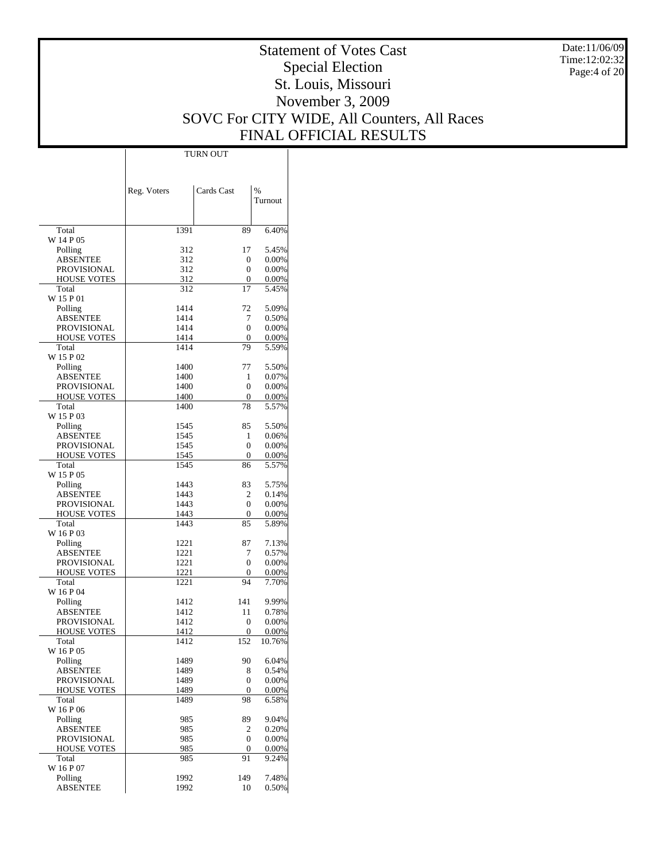Date:11/06/09 Time:12:02:32 Page:4 of 20

# Statement of Votes Cast Special Election St. Louis, Missouri November 3, 2009 SOVC For CITY WIDE, All Counters, All Races FINAL OFFICIAL RESULTS

 $\top$ 

|                                          | Reg. Voters  | Cards Cast     | %              |
|------------------------------------------|--------------|----------------|----------------|
|                                          |              |                | Turnout        |
| Total                                    | 1391         | 89             | 6.40%          |
| W 14 P 05                                |              |                |                |
| Polling                                  | 312          | 17             | 5.45%          |
| ABSENTEE<br><b>PROVISIONAL</b>           | 312<br>312   | 0<br>0         | 0.00%<br>0.00% |
| <b>HOUSE VOTES</b>                       | 312          | 0              | 0.00%          |
| Total                                    | 312          | 17             | 5.45%          |
| W 15 P 01                                |              |                |                |
| Polling                                  | 1414         | 72             | 5.09%          |
| ABSENTEE<br><b>PROVISIONAL</b>           | 1414<br>1414 | 7<br>0         | 0.50%<br>0.00% |
| <b>HOUSE VOTES</b>                       | 1414         | 0              | 0.00%          |
| Total                                    | 1414         | 79             | 5.59%          |
| W 15 P 02                                |              |                |                |
| Polling                                  | 1400         | 77             | 5.50%          |
| ABSENTEE                                 | 1400         | 1              | 0.07%          |
| <b>PROVISIONAL</b><br><b>HOUSE VOTES</b> | 1400<br>1400 | 0<br>0         | 0.00%<br>0.00% |
| Total                                    | 1400         | 78             | 5.57%          |
| W 15 P 03                                |              |                |                |
| Polling                                  | 1545         | 85             | 5.50%          |
| ABSENTEE                                 | 1545         | 1              | 0.06%          |
| <b>PROVISIONAL</b>                       | 1545         | 0              | 0.00%          |
| <b>HOUSE VOTES</b><br>Total              | 1545<br>1545 | 0<br>86        | 0.00%<br>5.57% |
| W 15 P 05                                |              |                |                |
| Polling                                  | 1443         | 83             | 5.75%          |
| ABSENTEE                                 | 1443         | 2              | 0.14%          |
| <b>PROVISIONAL</b>                       | 1443         | 0              | 0.00%          |
| <b>HOUSE VOTES</b>                       | 1443         | 0              | 0.00%          |
| Total<br>W 16 P 03                       | 1443         | 85             | 5.89%          |
| Polling                                  | 1221         | 87             | 7.13%          |
| ABSENTEE                                 | 1221         | 7              | 0.57%          |
| PROVISIONAL                              | 1221         | 0              | 0.00%          |
| <b>HOUSE VOTES</b>                       | 1221         | 0              | 0.00%          |
| Total                                    | 1221         | 94             | 7.70%          |
| W 16 P 04<br>Polling                     | 1412         | 141            | 9.99%          |
| ABSENTEE                                 | 1412         | 11             | 0.78%          |
| <b>PROVISIONAL</b>                       | 1412         | 0              | 0.00%          |
| <b>HOUSE VOTES</b>                       | 1412         | 0              | 0.00%          |
| Total                                    | 1412         | 152            | 10.76%         |
| W 16 P 05<br>Polling                     | 1489         | 90             | 6.04%          |
| <b>ABSENTEE</b>                          | 1489         | 8              | 0.54%          |
| PROVISIONAL                              | 1489         | 0              | 0.00%          |
| <b>HOUSE VOTES</b>                       | 1489         | $\overline{0}$ | 0.00%          |
| Total                                    | 1489         | 98             | 6.58%          |
| W 16 P 06                                |              |                |                |
| Polling<br><b>ABSENTEE</b>               | 985<br>985   | 89<br>2        | 9.04%<br>0.20% |
| PROVISIONAL                              | 985          | 0              | 0.00%          |
| <b>HOUSE VOTES</b>                       | 985          | 0              | 0.00%          |
| Total                                    | 985          | 91             | 9.24%          |
| W 16 P 07                                |              |                |                |
| Polling                                  | 1992         | 149            | 7.48%          |
| ABSENTEE                                 | 1992         | 10             | 0.50%          |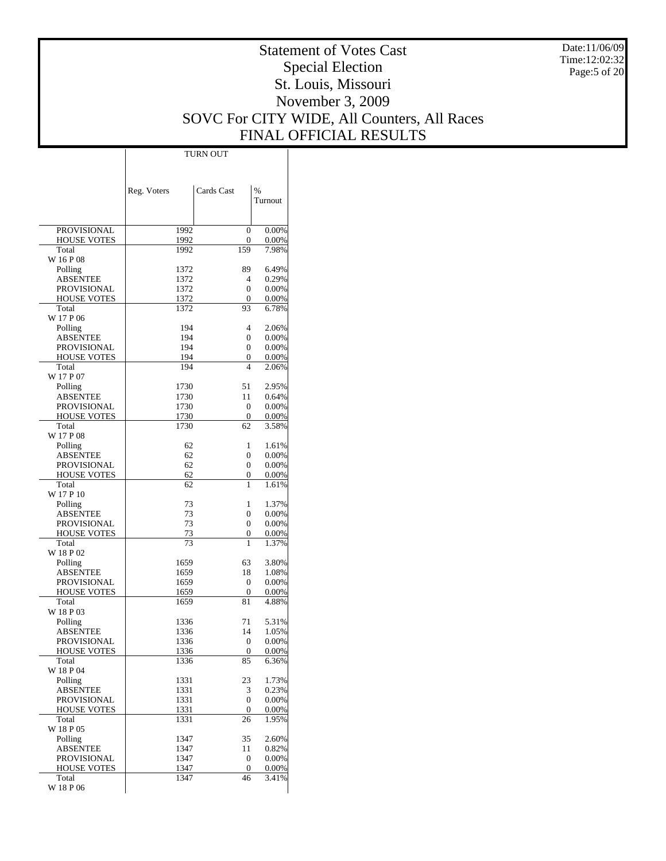Date:11/06/09 Time:12:02:32 Page:5 of 20

# Statement of Votes Cast Special Election St. Louis, Missouri November 3, 2009 SOVC For CITY WIDE, All Counters, All Races FINAL OFFICIAL RESULTS

 $\top$ 

|                                | Reg. Voters  | Cards Cast          | $\%$              |
|--------------------------------|--------------|---------------------|-------------------|
|                                |              |                     | Turnout           |
|                                |              |                     |                   |
| PROVISIONAL                    | 1992         | $\mathbf{0}$        | 0.00%             |
| <b>HOUSE VOTES</b>             | 1992         | 0                   | 0.00%             |
| Total<br>W 16 P 08             | 1992         | 159                 | 7.98%             |
| Polling                        | 1372         | 89                  | 6.49%             |
| ABSENTEE                       | 1372         | 4                   | 0.29%             |
| PROVISIONAL                    | 1372         | $\mathbf{0}$        | $0.00\%$          |
| <b>HOUSE VOTES</b>             | 1372         | 0                   | $0.00\%$          |
| Total<br>W 17 P 06             | 1372         | 93                  | 6.78%             |
| Polling                        | 194          | 4                   | 2.06%             |
| <b>ABSENTEE</b>                | 194          | $\mathbf{0}$        | 0.00%             |
| PROVISIONAL                    | 194          | $\mathbf{0}$        | 0.00%             |
| HOUSE VOTES                    | 194          | 0                   | 0.00%             |
| Total<br>W 17 P 07             | 194          | 4                   | 2.06%             |
| Polling                        | 1730         | 51                  | 2.95%             |
| ABSENTEE                       | 1730         | 11                  | 0.64%             |
| PROVISIONAL                    | 1730         | 0                   | $0.00\%$          |
| <b>HOUSE VOTES</b>             | 1730         | 0                   | $0.00\%$          |
| Total                          | 1730         | 62                  | 3.58%             |
| W 17 P 08<br>Polling           | 62           | 1                   | 1.61%             |
| <b>ABSENTEE</b>                | 62           | $\mathbf{0}$        | 0.00%             |
| PROVISIONAL                    | 62           | 0                   | 0.00%             |
| <b>HOUSE VOTES</b>             | 62           | 0                   | 0.00%             |
| Total                          | 62           | 1                   | 1.61%             |
| W 17 P 10<br>Polling           | 73           | 1                   | 1.37%             |
| ABSENTEE                       | 73           | 0                   | 0.00%             |
| PROVISIONAL                    | 73           | $\mathbf{0}$        | $0.00\%$          |
| <b>HOUSE VOTES</b>             | 73           | 0                   | $0.00\%$          |
| Total                          | 73           | 1                   | 1.37%             |
| W 18 P 02                      |              |                     |                   |
| Polling<br><b>ABSENTEE</b>     | 1659<br>1659 | 63<br>18            | 3.80%<br>1.08%    |
| PROVISIONAL                    | 1659         | $\mathbf{0}$        | 0.00%             |
| HOUSE VOTES                    | 1659         | 0                   | 0.00%             |
| Total                          | 1659         | 81                  | 4.88%             |
| W 18 P 03                      |              |                     |                   |
| Polling<br>ABSENTEE            | 1336<br>1336 | 71<br>14            | 5.31%<br>1.05%    |
| <b>PROVISIONAL</b>             | 1336         | $\mathbf{0}$        | 0.00%             |
| HOUSE VOTES                    | 1336         | $\mathbf{0}$        | $0.00\%$          |
| Total                          | 1336         | 85                  | 6.36%             |
| W 18 P 04                      |              |                     |                   |
| Polling                        | 1331         | 23                  | 1.73%             |
| <b>ABSENTEE</b><br>PROVISIONAL | 1331<br>1331 | 3<br>$\overline{0}$ | 0.23%<br>0.00%    |
| <b>HOUSE VOTES</b>             | 1331         | 0                   | $0.00\%$          |
| Total                          | 1331         | 26                  | 1.95%             |
| W 18 P 05                      |              |                     |                   |
| Polling                        | 1347         | 35                  | 2.60%             |
| <b>ABSENTEE</b><br>PROVISIONAL | 1347<br>1347 | 11<br>0             | 0.82%<br>$0.00\%$ |
| <b>HOUSE VOTES</b>             | 1347         | $\overline{0}$      | $0.00\%$          |
| Total                          | 1347         | 46                  | 3.41%             |
| W 18 P 06                      |              |                     |                   |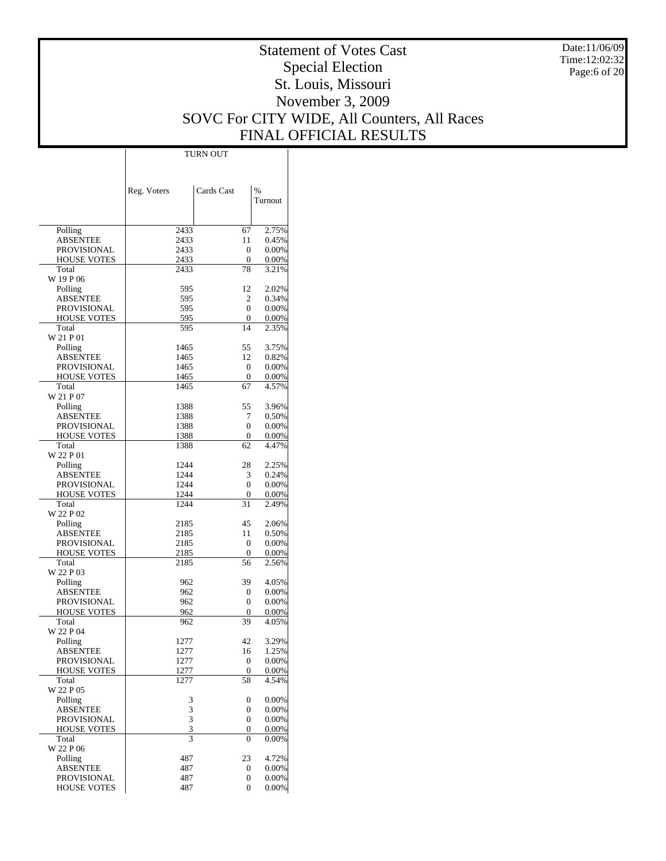Date:11/06/09 Time:12:02:32 Page:6 of 20

# Statement of Votes Cast Special Election St. Louis, Missouri November 3, 2009 SOVC For CITY WIDE, All Counters, All Races FINAL OFFICIAL RESULTS

Τ

|                     | TURN OUT                    |                |                   |
|---------------------|-----------------------------|----------------|-------------------|
|                     |                             |                |                   |
|                     |                             |                |                   |
|                     |                             |                |                   |
|                     | Reg. Voters                 | Cards Cast     | $\frac{0}{0}$     |
|                     |                             |                | Turnout           |
|                     |                             |                |                   |
| Polling             | 2433                        | 67             | 2.75%             |
| <b>ABSENTEE</b>     | 2433                        | 11             | 0.45%             |
| PROVISIONAL         | 2433                        | 0              | 0.00%             |
| <b>HOUSE VOTES</b>  | 2433                        | 0              | 0.00%             |
| Total               | 2433                        | 78             | 3.21%             |
| W 19 P 06           |                             |                |                   |
| Polling             | 595                         | 12             | 2.02%             |
| <b>ABSENTEE</b>     | 595                         | 2              | 0.34%             |
| PROVISIONAL         | 595                         | $\Omega$       | 0.00%             |
| <b>HOUSE VOTES</b>  | 595                         | 0              | 0.00%             |
| Total               | 595                         | 14             | 2.35%             |
| W 21 P 01           |                             |                |                   |
| Polling             | 1465                        | 55             | 3.75%             |
| ABSENTEE            | 1465                        | 12             | 0.82%             |
| PROVISIONAL         | 1465                        | $\overline{0}$ | 0.00%             |
| <b>HOUSE VOTES</b>  | 1465                        | 0              | 0.00%             |
| Total<br>W 21 P 07  | 1465                        | 67             | 4.57%             |
| Polling             | 1388                        | 55             | 3.96%             |
| ABSENTEE            | 1388                        | 7              | 0.50%             |
| <b>PROVISIONAL</b>  | 1388                        | $\overline{0}$ | 0.00%             |
| <b>HOUSE VOTES</b>  | 1388                        | 0              | 0.00%             |
| Total               | 1388                        | 62             | 4.47%             |
| W 22 P 01           |                             |                |                   |
| Polling             | 1244                        | 28             | 2.25%             |
| ABSENTEE            | 1244                        | 3              | 0.24%             |
| PROVISIONAL         | 1244                        | $\overline{0}$ | 0.00%             |
| <b>HOUSE VOTES</b>  | 1244                        | 0              | 0.00%             |
| Total               | 1244                        | 31             | 2.49%             |
| W 22 P 02           |                             |                |                   |
| Polling             | 2185                        | 45             | 2.06%             |
| ABSENTEE            | 2185                        | 11             | 0.50%             |
| PROVISIONAL         | 2185                        | $\overline{0}$ | 0.00%             |
| <b>HOUSE VOTES</b>  | 2185                        | 0              | 0.00%             |
| Total<br>W 22 P 03  | 2185                        | 56             | 2.56%             |
| Polling             | 962                         | 39             | 4.05%             |
| ABSENTEE            | 962                         | 0              | 0.00%             |
| <b>PROVISIONAL</b>  | 962                         | $\overline{0}$ | 0.00%             |
| <b>HOUSE VOTES</b>  | 962                         | 0              | 0.00%             |
| Total               | 962                         | 39             | 4.05%             |
| W 22 P 04           |                             |                |                   |
| Polling             | 1277                        | 42             | 3.29%             |
| <b>ABSENTEE</b>     | 1277                        | 16             | 1.25%             |
| PROVISIONAL         | 1277                        | 0              | 0.00%             |
| HOUSE VOTES         | 1277                        | 0              | 0.00%             |
| Total               | 1277                        | 58             | 4.54%             |
| W 22 P 05           |                             |                |                   |
| Polling             | 3                           | 0              | 0.00%             |
| <b>ABSENTEE</b>     |                             | 0              | 0.00%             |
| PROVISIONAL         |                             | 0              | 0.00%             |
| HOUSE VOTES         | $\frac{3}{3}$ $\frac{3}{3}$ | 0              | 0.00%             |
| Total               |                             | 0              | 0.00%             |
| W 22 P 06           |                             |                |                   |
| Polling<br>ABSENTEE | 487<br>487                  | 23<br>0        | 4.72%<br>$0.00\%$ |
| PROVISIONAL         | 487                         | 0              | $0.00\%$          |
| <b>HOUSE VOTES</b>  | 487                         | $\overline{0}$ | $0.00\%$          |
|                     |                             |                |                   |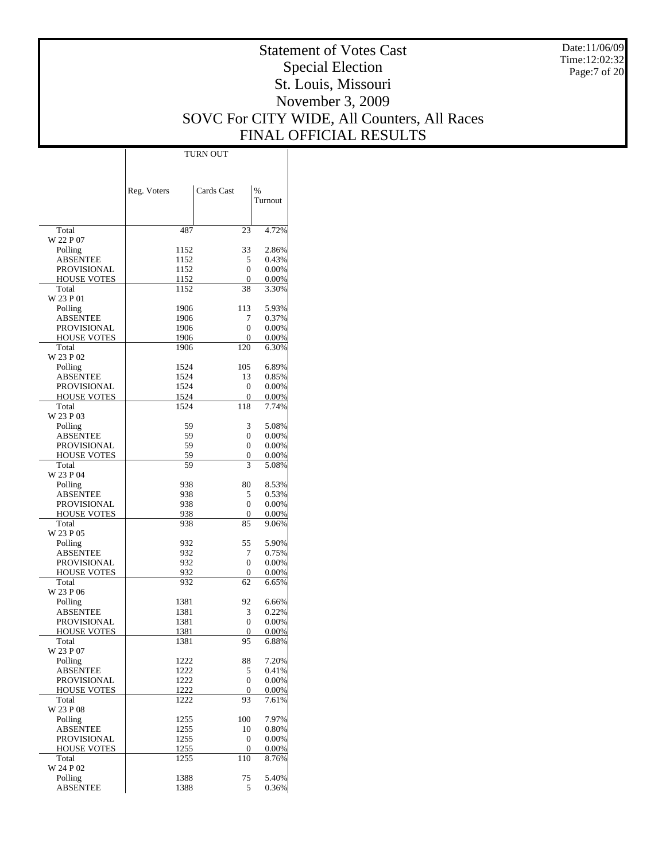Date:11/06/09 Time:12:02:32 Page:7 of 20

# Statement of Votes Cast Special Election St. Louis, Missouri November 3, 2009 SOVC For CITY WIDE, All Counters, All Races FINAL OFFICIAL RESULTS

 $\top$ 

|                                   | Reg. Voters  | Cards Cast          | $\frac{0}{0}$        |
|-----------------------------------|--------------|---------------------|----------------------|
|                                   |              |                     | Turnout              |
| Total                             | 487          | 23                  | 4.72%                |
| W 22 P 07                         |              |                     |                      |
| Polling                           | 1152         | 33                  | 2.86%                |
| ABSENTEE<br><b>PROVISIONAL</b>    | 1152<br>1152 | 5<br>$\overline{0}$ | 0.43%<br>$0.00\%$    |
| <b>HOUSE VOTES</b>                | 1152         | 0                   | $0.00\%$             |
| Total                             | 1152         | 38                  | 3.30%                |
| W 23 P 01                         |              |                     |                      |
| Polling                           | 1906         | 113                 | 5.93%                |
| ABSENTEE                          | 1906         | 7                   | 0.37%                |
| PROVISIONAL<br><b>HOUSE VOTES</b> | 1906<br>1906 | $\overline{0}$<br>0 | 0.00%<br>$0.00\%$    |
| Total                             | 1906         | 120                 | 6.30%                |
| W 23 P 02                         |              |                     |                      |
| Polling                           | 1524         | 105                 | 6.89%                |
| ABSENTEE                          | 1524         | 13                  | 0.85%                |
| PROVISIONAL                       | 1524         | 0                   | 0.00%                |
| <b>HOUSE VOTES</b><br>Total       | 1524<br>1524 | 0<br>118            | $0.00\%$<br>7.74%    |
| W 23 P 03                         |              |                     |                      |
| Polling                           | 59           | 3                   | 5.08%                |
| <b>ABSENTEE</b>                   | 59           | $\overline{0}$      | 0.00%                |
| PROVISIONAL                       | 59           | $\overline{0}$      | $0.00\%$             |
| <b>HOUSE VOTES</b>                | 59           | 0                   | $0.00\%$             |
| Total<br>W 23 P 04                | 59           | 3                   | 5.08%                |
| Polling                           | 938          | 80                  | 8.53%                |
| ABSENTEE                          | 938          | 5                   | 0.53%                |
| PROVISIONAL                       | 938          | $\overline{0}$      | 0.00%                |
| <b>HOUSE VOTES</b>                | 938          | 0                   | $0.00\%$             |
| Total                             | 938          | 85                  | 9.06%                |
| W 23 P 05                         |              | 55                  | 5.90%                |
| Polling<br>ABSENTEE               | 932<br>932   | 7                   | 0.75%                |
| PROVISIONAL                       | 932          | $\overline{0}$      | $0.00\%$             |
| <b>HOUSE VOTES</b>                | 932          | 0                   | $0.00\%$             |
| Total                             | 932          | 62                  | 6.65%                |
| W 23 P 06                         |              |                     |                      |
| Polling                           | 1381         | 92                  | 6.66%                |
| ABSENTEE<br><b>PROVISIONAL</b>    | 1381<br>1381 | 3<br>$\overline{0}$ | 0.22%<br>$0.00\%$    |
| <b>HOUSE VOTES</b>                | 1381         | 0                   | $0.00\%$             |
| Total                             | 1381         | 95                  | 6.88%                |
| W 23 P 07                         |              |                     |                      |
| Polling                           | 1222         | 88                  | 7.20%                |
| <b>ABSENTEE</b>                   | 1222         | 5                   | 0.41%                |
| <b>PROVISIONAL</b><br>HOUSE VOTES | 1222<br>1222 | $\overline{0}$<br>0 | $0.00\%$<br>$0.00\%$ |
| Total                             | 1222         | 93                  | 7.61%                |
| W 23 P 08                         |              |                     |                      |
| Polling                           | 1255         | 100                 | 7.97%                |
| <b>ABSENTEE</b>                   | 1255         | 10                  | 0.80%                |
| PROVISIONAL                       | 1255         | 0                   | $0.00\%$             |
| HOUSE VOTES<br>Total              | 1255<br>1255 | 0<br>110            | $0.00\%$<br>8.76%    |
| W 24 P 02                         |              |                     |                      |
| Polling                           | 1388         | 75                  | 5.40%                |
| <b>ABSENTEE</b>                   | 1388         | 5                   | 0.36%                |

TURN OUT

 $\overline{1}$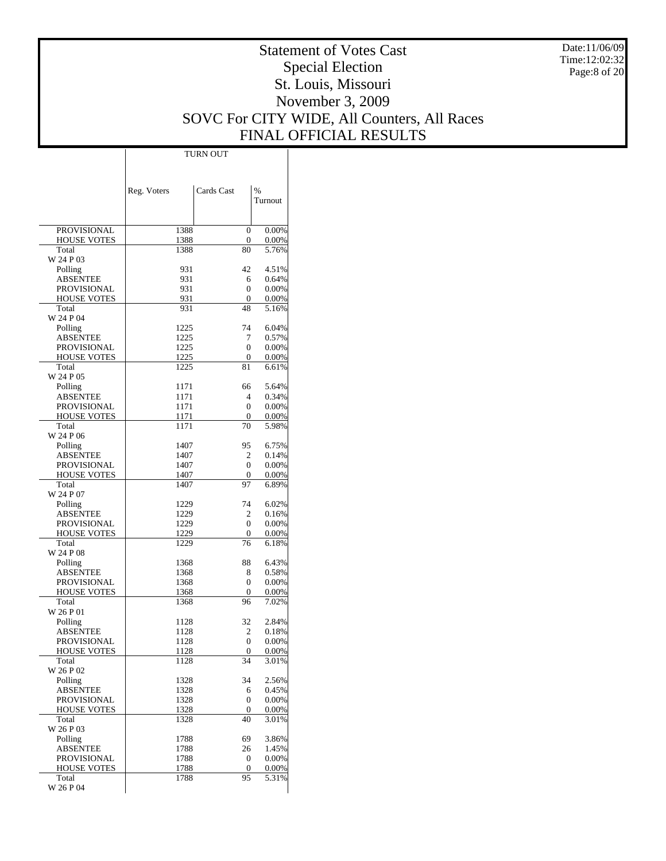Date:11/06/09 Time:12:02:32 Page:8 of 20

# Statement of Votes Cast Special Election St. Louis, Missouri November 3, 2009 SOVC For CITY WIDE, All Counters, All Races FINAL OFFICIAL RESULTS

 $\overline{\phantom{a}}$ 

|                                | Reg. Voters  | Cards Cast           | $\%$           |
|--------------------------------|--------------|----------------------|----------------|
|                                |              |                      | Turnout        |
|                                |              |                      |                |
| <b>PROVISIONAL</b>             | 1388         | $\overline{0}$       | $0.00\%$       |
| <b>HOUSE VOTES</b>             | 1388         | 0                    | $0.00\%$       |
| Total                          | 1388         | 80                   | 5.76%          |
| W 24 P 03                      |              |                      |                |
| Polling<br><b>ABSENTEE</b>     | 931<br>931   | 42<br>6              | 4.51%<br>0.64% |
| PROVISIONAL                    | 931          | $\overline{0}$       | 0.00%          |
| <b>HOUSE VOTES</b>             | 931          | $\overline{0}$       | 0.00%          |
| Total                          | 931          | 48                   | 5.16%          |
| W 24 P 04                      |              |                      |                |
| Polling                        | 1225         | 74                   | 6.04%          |
| ABSENTEE                       | 1225         | 7                    | 0.57%          |
| PROVISIONAL                    | 1225         | $\overline{0}$       | 0.00%          |
| <b>HOUSE VOTES</b>             | 1225         | 0                    | $0.00\%$       |
| Total                          | 1225         | 81                   | 6.61%          |
| W 24 P 05                      |              |                      |                |
| Polling                        | 1171         | 66<br>4              | 5.64%<br>0.34% |
| <b>ABSENTEE</b><br>PROVISIONAL | 1171<br>1171 | $\overline{0}$       | 0.00%          |
| <b>HOUSE VOTES</b>             | 1171         | 0                    | $0.00\%$       |
| Total                          | 1171         | 70                   | 5.98%          |
| W 24 P 06                      |              |                      |                |
| Polling                        | 1407         | 95                   | 6.75%          |
| ABSENTEE                       | 1407         | $\overline{2}$       | 0.14%          |
| PROVISIONAL                    | 1407         | $\overline{0}$       | 0.00%          |
| <b>HOUSE VOTES</b>             | 1407         | 0                    | $0.00\%$       |
| Total                          | 1407         | 97                   | 6.89%          |
| W 24 P 07                      |              |                      |                |
| Polling                        | 1229         | 74                   | 6.02%          |
| <b>ABSENTEE</b>                | 1229         | 2                    | 0.16%          |
| PROVISIONAL                    | 1229         | $\overline{0}$       | 0.00%          |
| <b>HOUSE VOTES</b><br>Total    | 1229<br>1229 | 0<br>76              | 0.00%<br>6.18% |
| W 24 P 08                      |              |                      |                |
| Polling                        | 1368         | 88                   | 6.43%          |
| ABSENTEE                       | 1368         | 8                    | 0.58%          |
| PROVISIONAL                    | 1368         | $\overline{0}$       | 0.00%          |
| <b>HOUSE VOTES</b>             | 1368         | 0                    | $0.00\%$       |
| Total                          | 1368         | 96                   | 7.02%          |
| W 26 P 01                      |              |                      |                |
| Polling                        | 1128         | 32                   | 2.84%          |
| ABSENTEE                       | 1128         | 2                    | 0.18%          |
| PROVISIONAL                    | 1128         | $\overline{0}$       | 0.00%          |
| <b>HOUSE VOTES</b><br>Total    | <u>1128</u>  | $\overline{0}$<br>34 | 0.00%          |
| W 26 P 02                      | 1128         |                      | 3.01%          |
| Polling                        | 1328         | 34                   | 2.56%          |
| ABSENTEE                       | 1328         | 6                    | 0.45%          |
| PROVISIONAL                    | 1328         | $\boldsymbol{0}$     | 0.00%          |
| <b>HOUSE VOTES</b>             | 1328         | 0                    | $0.00\%$       |
| Total                          | 1328         | 40                   | 3.01%          |
| W 26 P 03                      |              |                      |                |
| Polling                        | 1788         | 69                   | 3.86%          |
| ABSENTEE                       | 1788         | 26                   | 1.45%          |
| PROVISIONAL                    | 1788         | 0                    | 0.00%          |
| <b>HOUSE VOTES</b>             | 1788         | 0                    | $0.00\%$       |
| Total                          | 1788         | 95                   | 5.31%          |
| W 26 P 04                      |              |                      |                |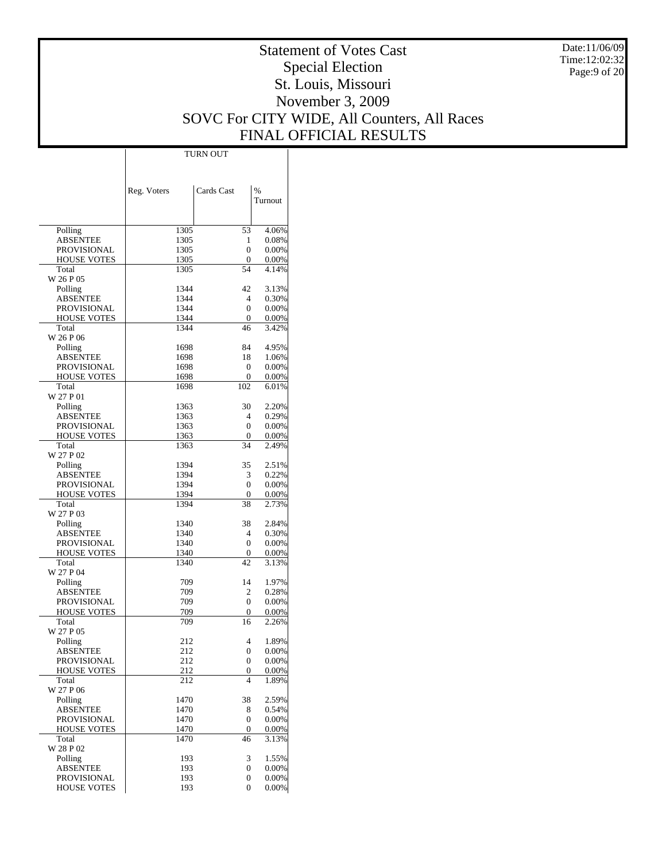Date:11/06/09 Time:12:02:32 Page:9 of 20

# Statement of Votes Cast Special Election St. Louis, Missouri November 3, 2009 SOVC For CITY WIDE, All Counters, All Races FINAL OFFICIAL RESULTS

|                     | TURN OUT    |                          |                |  |
|---------------------|-------------|--------------------------|----------------|--|
|                     |             |                          |                |  |
|                     |             |                          |                |  |
|                     |             |                          |                |  |
|                     | Reg. Voters | Cards Cast               | $\%$           |  |
|                     |             |                          | Turnout        |  |
|                     |             |                          |                |  |
| Polling             | 1305        | 53                       | 4.06%          |  |
| ABSENTEE            | 1305        | 1                        | 0.08%          |  |
| PROVISIONAL         | 1305        | 0                        | 0.00%          |  |
| <b>HOUSE VOTES</b>  | 1305        | 0                        | 0.00%          |  |
| Total               | 1305        | 54                       | 4.14%          |  |
| W 26 P 05           |             |                          |                |  |
| Polling             | 1344        | 42                       | 3.13%          |  |
| ABSENTEE            | 1344        | 4                        | 0.30%          |  |
| PROVISIONAL         | 1344        | 0                        | 0.00%          |  |
| <b>HOUSE VOTES</b>  | 1344        | 0                        | 0.00%          |  |
| Total               | 1344        | 46                       | 3.42%          |  |
| W 26 P 06           |             |                          |                |  |
| Polling             | 1698        | 84                       | 4.95%          |  |
| ABSENTEE            | 1698        | 18                       | 1.06%          |  |
| <b>PROVISIONAL</b>  | 1698        | 0                        | 0.00%          |  |
| <b>HOUSE VOTES</b>  | 1698        | 0                        | 0.00%          |  |
| Total<br>W 27 P 01  | 1698        | 102                      | 6.01%          |  |
| Polling             | 1363        | 30                       | 2.20%          |  |
| <b>ABSENTEE</b>     | 1363        | 4                        | 0.29%          |  |
| PROVISIONAL         | 1363        | 0                        | 0.00%          |  |
| <b>HOUSE VOTES</b>  | 1363        | 0                        | 0.00%          |  |
| Total               | 1363        | 34                       | 2.49%          |  |
| W 27 P 02           |             |                          |                |  |
| Polling             | 1394        | 35                       | 2.51%          |  |
| ABSENTEE            | 1394        | 3                        | 0.22%          |  |
| PROVISIONAL         | 1394        | 0                        | 0.00%          |  |
| <b>HOUSE VOTES</b>  | 1394        | 0                        | 0.00%          |  |
| Total               | 1394        | 38                       | 2.73%          |  |
| W 27 P 03           |             |                          |                |  |
| Polling             | 1340        | 38                       | 2.84%          |  |
| ABSENTEE            | 1340        | 4                        | 0.30%          |  |
| PROVISIONAL         | 1340        | 0                        | 0.00%          |  |
| <b>HOUSE VOTES</b>  | 1340        | 0                        | 0.00%          |  |
| Total               | 1340        | 42                       | 3.13%          |  |
| W 27 P 04           | 709         | 14                       | 1.97%          |  |
| Polling<br>ABSENTEE | 709         | 2                        | 0.28%          |  |
| <b>PROVISIONAL</b>  | 709         | 0                        | 0.00%          |  |
| <b>HOUSE VOTES</b>  | 709         | 0                        | 0.00%          |  |
| Total               | 709         | 16                       | 2.26%          |  |
| W 27 P 05           |             |                          |                |  |
| Polling             | 212         | 4                        | 1.89%          |  |
| <b>ABSENTEE</b>     | 212         | 0                        | 0.00%          |  |
| <b>PROVISIONAL</b>  | 212         | 0                        | 0.00%          |  |
| HOUSE VOTES         | 212         | 0                        | 0.00%          |  |
| Total               | 212         | $\overline{\mathcal{L}}$ | 1.89%          |  |
| W 27 P 06           |             |                          |                |  |
| Polling             | 1470        | 38                       | 2.59%          |  |
| ABSENTEE            | 1470        | 8                        | 0.54%          |  |
| <b>PROVISIONAL</b>  | 1470        | 0                        | 0.00%          |  |
| <b>HOUSE VOTES</b>  | 1470        | 0                        | 0.00%          |  |
| Total               | 1470        | 46                       | 3.13%          |  |
| W 28 P 02           |             | 3                        |                |  |
| Polling<br>ABSENTEE | 193<br>193  | 0                        | 1.55%<br>0.00% |  |
| PROVISIONAL         | 193         | 0                        | 0.00%          |  |
| <b>HOUSE VOTES</b>  | 193         | 0                        | $0.00\%$       |  |
|                     |             |                          |                |  |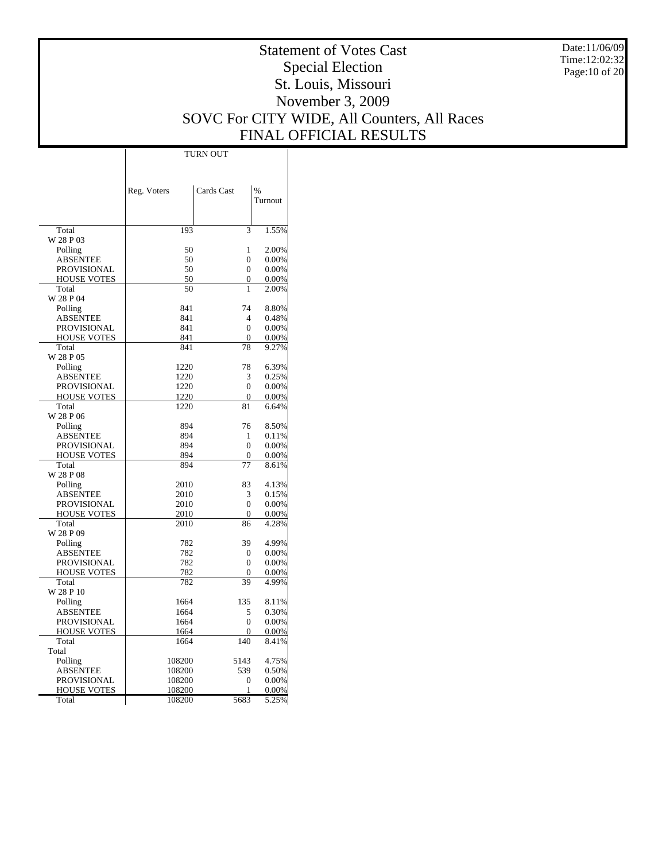Date:11/06/09 Time:12:02:32 Page:10 of 20

# Statement of Votes Cast Special Election St. Louis, Missouri November 3, 2009 SOVC For CITY WIDE, All Counters, All Races FINAL OFFICIAL RESULTS

 $\top$ 

|                    | Reg. Voters | Cards Cast       | $\frac{0}{0}$ |
|--------------------|-------------|------------------|---------------|
|                    |             |                  | Turnout       |
|                    |             |                  |               |
| Total              | 193         | 3                | 1.55%         |
| W 28 P 03          |             |                  |               |
| Polling            | 50          | 1                | 2.00%         |
| ABSENTEE           | 50          | 0                | 0.00%         |
| <b>PROVISIONAL</b> | 50          | $\boldsymbol{0}$ | 0.00%         |
| <b>HOUSE VOTES</b> | 50          | 0                | 0.00%         |
| Total              | 50          | 1                | 2.00%         |
| W 28 P 04          |             |                  |               |
| Polling            | 841         | 74               | 8.80%         |
| <b>ABSENTEE</b>    | 841         | $\overline{4}$   | 0.48%         |
| <b>PROVISIONAL</b> | 841         | $\mathbf{0}$     | 0.00%         |
| <b>HOUSE VOTES</b> | 841         | $\mathbf{0}$     | 0.00%         |
| Total              | 841         | 78               | 9.27%         |
| W 28 P 05          |             |                  |               |
| Polling            | 1220        | 78               | 6.39%         |
| ABSENTEE           | 1220        | 3                | 0.25%         |
| PROVISIONAL        | 1220        | $\overline{0}$   | 0.00%         |
| <b>HOUSE VOTES</b> | 1220        | $\mathbf{0}$     | 0.00%         |
| Total              | 1220        | 81               | 6.64%         |
| W 28 P 06          |             |                  |               |
| Polling            | 894         | 76               | 8.50%         |
| ABSENTEE           | 894         | 1                | 0.11%         |
| <b>PROVISIONAL</b> | 894         | $\boldsymbol{0}$ | 0.00%         |
| <b>HOUSE VOTES</b> | 894         | 0                | 0.00%         |
| Total              | 894         | 77               | 8.61%         |
| W 28 P 08          |             |                  |               |
| Polling            | 2010        | 83               | 4.13%         |
| ABSENTEE           | 2010        | 3                | 0.15%         |
| <b>PROVISIONAL</b> | 2010        | $\mathbf{0}$     | 0.00%         |
| <b>HOUSE VOTES</b> | 2010        | $\mathbf{0}$     | 0.00%         |
| Total              | 2010        | 86               | 4.28%         |
| W 28 P 09          |             |                  |               |
| Polling            | 782         | 39               | 4.99%         |
| <b>ABSENTEE</b>    | 782         | $\boldsymbol{0}$ | 0.00%         |
| PROVISIONAL        | 782         | $\mathbf{0}$     | 0.00%         |
| <b>HOUSE VOTES</b> | 782         | $\overline{0}$   | 0.00%         |
| Total              | 782         | 39               | 4.99%         |
| W 28 P 10          |             |                  |               |
| Polling            | 1664        | 135              | 8.11%         |
| ABSENTEE           | 1664        | 5                | 0.30%         |
| PROVISIONAL        | 1664        | $\boldsymbol{0}$ | 0.00%         |
| <b>HOUSE VOTES</b> | 1664        | $\overline{0}$   | 0.00%         |
| Total              | 1664        | 140              | 8.41%         |
| Total              |             |                  |               |
| Polling            | 108200      | 5143             | 4.75%         |
| ABSENTEE           | 108200      | 539              | 0.50%         |
| <b>PROVISIONAL</b> | 108200      | 0                | 0.00%         |
| <b>HOUSE VOTES</b> | 108200      | 1                | 0.00%         |
| Total              | 108200      | 5683             | 5.25%         |

TURN OUT

 $\overline{1}$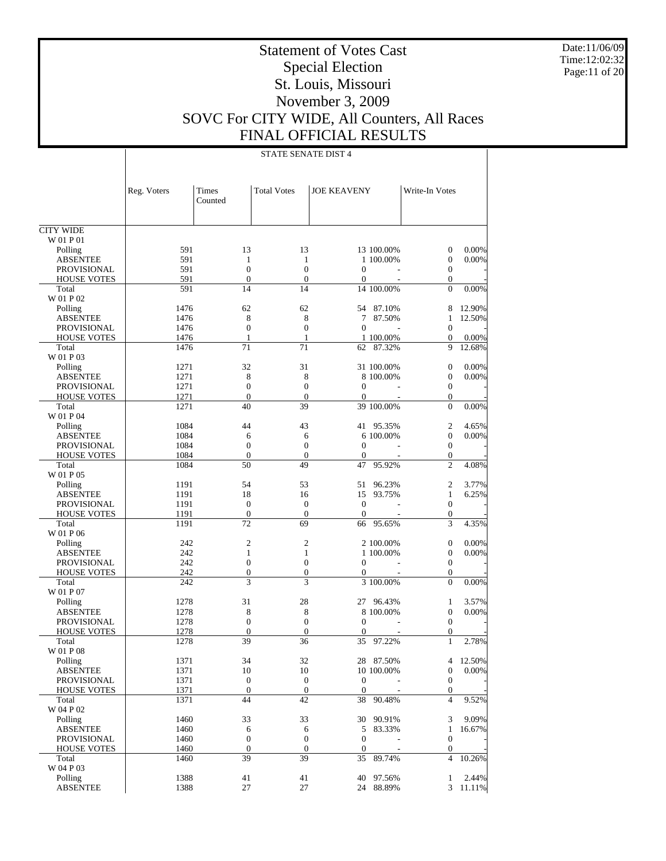Date:11/06/09 Time:12:02:32 Page:11 of 20

# Statement of Votes Cast Special Election St. Louis, Missouri November 3, 2009 SOVC For CITY WIDE, All Counters, All Races FINAL OFFICIAL RESULTS

|                             | Reg. Voters  | Times<br>Counted     | <b>Total Votes</b> | <b>JOE KEAVENY</b>           | Write-In Votes    |           |
|-----------------------------|--------------|----------------------|--------------------|------------------------------|-------------------|-----------|
| <b>CITY WIDE</b>            |              |                      |                    |                              |                   |           |
| W 01 P 01                   |              |                      |                    |                              |                   |           |
| Polling                     | 591          | 13                   | 13                 | 13 100.00%                   | $\mathbf{0}$      | 0.00%     |
| <b>ABSENTEE</b>             | 591          | $\mathbf{1}$         | $\mathbf{1}$       | 1 100,00%                    | $\mathbf{0}$      | 0.00%     |
| <b>PROVISIONAL</b>          | 591          | $\mathbf{0}$         | $\mathbf{0}$       | $\Omega$                     | $\mathbf{0}$      |           |
| <b>HOUSE VOTES</b>          | 591          | $\overline{0}$       | $\mathbf{0}$       | $\mathbf{0}$                 | $\mathbf{0}$      |           |
| Total<br>W 01 P 02          | 591          | 14                   | 14                 | 14 100.00%                   | $\Omega$          | 0.00%     |
| Polling                     | 1476         | 62                   | 62                 | 54<br>87.10%                 | 8                 | 12.90%    |
| <b>ABSENTEE</b>             | 1476         | 8                    | 8                  | 87.50%<br>7                  | 1                 | 12.50%    |
| <b>PROVISIONAL</b>          | 1476         | $\overline{0}$       | $\mathbf{0}$       | $\Omega$                     | $\mathbf{0}$      |           |
| <b>HOUSE VOTES</b>          | 1476         | 1                    | 1                  | 1 100.00%                    | $\boldsymbol{0}$  | 0.00%     |
| Total                       | 1476         | 71                   | 71                 | 87.32%<br>62                 | 9                 | 12.68%    |
| W 01 P 03                   |              |                      |                    |                              |                   |           |
| Polling                     | 1271         | 32                   | 31                 | 31 100.00%                   | $\mathbf{0}$      | 0.00%     |
| <b>ABSENTEE</b>             | 1271         | 8                    | 8                  | 8 100.00%                    | $\mathbf{0}$      | 0.00%     |
| <b>PROVISIONAL</b>          | 1271         | $\overline{0}$       | $\mathbf{0}$       | $\Omega$                     | $\mathbf{0}$      |           |
| <b>HOUSE VOTES</b>          | 1271         | $\mathbf{0}$         | $\mathbf{0}$       | $\mathbf{0}$                 | $\mathbf{0}$      |           |
| Total                       | 1271         | 40                   | 39                 | 39 100.00%                   | $\Omega$          | 0.00%     |
| W 01 P 04                   |              |                      |                    |                              |                   |           |
| Polling                     | 1084         | 44                   | 43                 | 41 95.35%                    | $\mathfrak{2}$    | 4.65%     |
| <b>ABSENTEE</b>             | 1084         | 6                    | 6                  | 6 100,00%                    | $\mathbf{0}$      | 0.00%     |
| <b>PROVISIONAL</b>          | 1084         | $\mathbf{0}$         | $\mathbf{0}$       | $\Omega$                     | $\mathbf{0}$      |           |
| <b>HOUSE VOTES</b>          | 1084         | $\overline{0}$       | $\mathbf{0}$       | $\mathbf{0}$                 | $\boldsymbol{0}$  |           |
| Total                       | 1084         | 50                   | 49                 | 95.92%<br>47                 | $\overline{2}$    | 4.08%     |
| W 01 P 05                   |              |                      |                    |                              |                   |           |
| Polling                     | 1191         | 54                   | 53                 | 96.23%<br>51                 | 2                 | 3.77%     |
| <b>ABSENTEE</b>             | 1191         | 18                   | 16                 | 15<br>93.75%                 | $\mathbf{1}$      | 6.25%     |
| <b>PROVISIONAL</b>          | 1191         | $\mathbf{0}$         | $\mathbf{0}$       | $\mathbf{0}$                 | $\mathbf{0}$      |           |
| <b>HOUSE VOTES</b><br>Total | 1191<br>1191 | $\overline{0}$<br>72 | $\mathbf{0}$<br>69 | $\mathbf{0}$<br>95.65%<br>66 | $\mathbf{0}$<br>3 | 4.35%     |
| W 01 P 06                   |              |                      |                    |                              |                   |           |
| Polling                     | 242          | $\overline{2}$       | $\mathfrak{2}$     | 2 100.00%                    | $\mathbf{0}$      | 0.00%     |
| <b>ABSENTEE</b>             | 242          | 1                    | 1                  | 1 100,00%                    | $\mathbf{0}$      | 0.00%     |
| <b>PROVISIONAL</b>          | 242          | $\overline{0}$       | $\mathbf{0}$       | $\Omega$                     | $\mathbf{0}$      |           |
| <b>HOUSE VOTES</b>          | 242          | $\boldsymbol{0}$     | $\boldsymbol{0}$   | $\boldsymbol{0}$             | $\boldsymbol{0}$  |           |
| Total                       | 242          | 3                    | 3                  | 3 100.00%                    | $\Omega$          | 0.00%     |
| W 01 P 07                   |              |                      |                    |                              |                   |           |
| Polling                     | 1278         | 31                   | 28                 | 96.43%<br>27                 | 1                 | 3.57%     |
| <b>ABSENTEE</b>             | 1278         | 8                    | 8                  | 8 100,00%                    | $\mathbf{0}$      | 0.00%     |
| <b>PROVISIONAL</b>          | 1278         | $\mathbf{0}$         | $\mathbf{0}$       | $\Omega$                     | $\mathbf{0}$      |           |
| <b>HOUSE VOTES</b>          | 1278         | $\mathbf{0}$         | $\mathbf{0}$       | $\mathbf{0}$                 | $\mathbf{0}$      |           |
| Total                       | 1278         | 39                   | 36                 | 35<br>97.22%                 | 1                 | 2.78%     |
| W 01 P 08                   |              |                      |                    |                              |                   |           |
| Polling                     | 1371         | 34                   | 32                 | 28 87.50%                    |                   | 4 12.50%  |
| <b>ABSENTEE</b>             | 1371         | 10                   | 10                 | 10 100.00%                   | $\boldsymbol{0}$  | 0.00%     |
| <b>PROVISIONAL</b>          | 1371         | $\mathbf{0}$         | $\mathbf{0}$       | $\mathbf{0}$                 | $\boldsymbol{0}$  |           |
| <b>HOUSE VOTES</b>          | 1371         | $\boldsymbol{0}$     | $\mathbf{0}$       | $\boldsymbol{0}$             | $\boldsymbol{0}$  |           |
| Total<br>W 04 P 02          | 1371         | 44                   | 42                 | 90.48%<br>38                 | $\overline{4}$    | 9.52%     |
| Polling                     | 1460         | 33                   | 33                 | 90.91%<br>30                 | 3                 | 9.09%     |
| <b>ABSENTEE</b>             | 1460         | 6                    | 6                  | 83.33%<br>5                  | $\mathbf{1}$      | 16.67%    |
| PROVISIONAL                 | 1460         | $\boldsymbol{0}$     | $\mathbf{0}$       | $\boldsymbol{0}$             | $\boldsymbol{0}$  |           |
| <b>HOUSE VOTES</b>          | 1460         | $\boldsymbol{0}$     | $\boldsymbol{0}$   | $\boldsymbol{0}$             | $\boldsymbol{0}$  |           |
| Total                       | 1460         | 39                   | 39                 | 89.74%<br>35                 | $\overline{4}$    | 10.26%    |
| W 04 P 03                   |              |                      |                    |                              |                   |           |
| Polling                     | 1388         | 41                   | 41                 | 97.56%<br>40                 | $\mathbf{1}$      | 2.44%     |
| <b>ABSENTEE</b>             | 1388         | 27                   | 27                 | 24 88.89%                    | $\mathfrak{Z}$    | $11.11\%$ |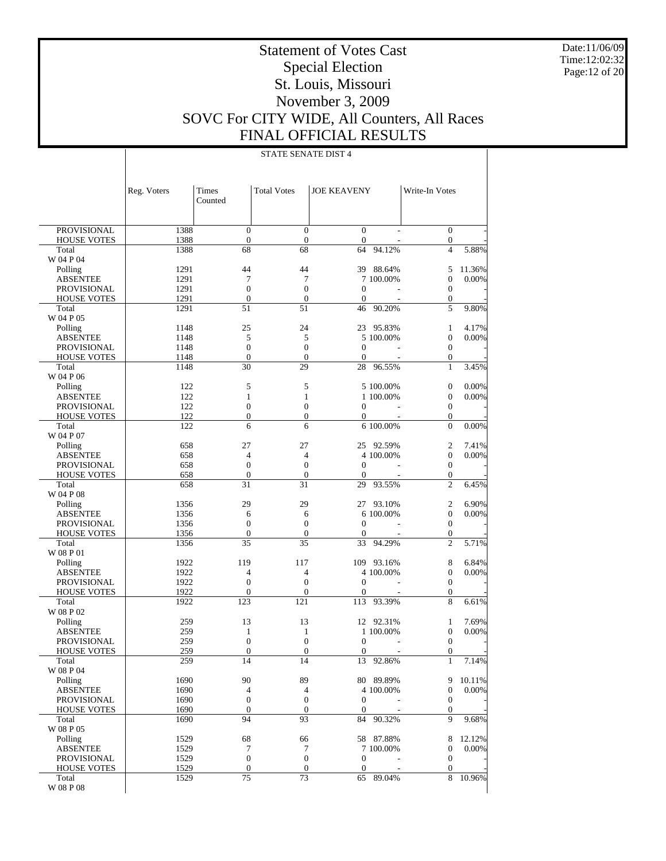Date:11/06/09 Time:12:02:32 Page:12 of 20

# Statement of Votes Cast Special Election St. Louis, Missouri November 3, 2009 SOVC For CITY WIDE, All Counters, All Races FINAL OFFICIAL RESULTS

|                             | Reg. Voters  | Times<br>Counted       | <b>Total Votes</b>     | <b>JOE KEAVENY</b> |            | Write-In Votes        |        |
|-----------------------------|--------------|------------------------|------------------------|--------------------|------------|-----------------------|--------|
| <b>PROVISIONAL</b>          | 1388         | $\mathbf{0}$           | $\mathbf{0}$           | $\boldsymbol{0}$   |            | $\boldsymbol{0}$      |        |
| <b>HOUSE VOTES</b>          | 1388         | $\boldsymbol{0}$       | $\boldsymbol{0}$       | $\boldsymbol{0}$   |            | $\boldsymbol{0}$      |        |
| Total                       | 1388         | 68                     | 68                     | 64                 | 94.12%     | $\overline{4}$        | 5.88%  |
| W 04 P 04                   |              |                        |                        |                    |            |                       |        |
| Polling                     | 1291         | 44                     | 44                     | 39                 | 88.64%     | 5                     | 11.36% |
| <b>ABSENTEE</b>             | 1291         | $\overline{7}$         | 7                      |                    | 7 100.00%  | $\boldsymbol{0}$      | 0.00%  |
| <b>PROVISIONAL</b>          | 1291         | $\overline{0}$         | $\mathbf{0}$           | $\mathbf{0}$       |            | $\boldsymbol{0}$      |        |
| <b>HOUSE VOTES</b><br>Total | 1291<br>1291 | $\boldsymbol{0}$<br>51 | $\boldsymbol{0}$<br>51 | $\theta$<br>46     | 90.20%     | $\boldsymbol{0}$<br>5 | 9.80%  |
| W 04 P 05                   |              |                        |                        |                    |            |                       |        |
| Polling                     | 1148         | 25                     | 24                     | 23                 | 95.83%     | 1                     | 4.17%  |
| <b>ABSENTEE</b>             | 1148         | 5                      | 5                      |                    | 5 100.00%  | $\boldsymbol{0}$      | 0.00%  |
| <b>PROVISIONAL</b>          | 1148         | $\overline{0}$         | $\boldsymbol{0}$       | $\mathbf{0}$       |            | $\boldsymbol{0}$      |        |
| <b>HOUSE VOTES</b>          | 1148         | $\boldsymbol{0}$       | $\boldsymbol{0}$       | $\mathbf{0}$       |            | $\boldsymbol{0}$      |        |
| Total                       | 1148         | 30                     | 29                     | 28                 | 96.55%     | $\mathbf{1}$          | 3.45%  |
| W 04 P 06                   |              |                        |                        |                    |            |                       |        |
| Polling                     | 122          | 5                      | 5                      |                    | 5 100.00%  | $\boldsymbol{0}$      | 0.00%  |
| <b>ABSENTEE</b>             | 122          | $\mathbf{1}$           | 1                      |                    | 1 100.00%  | $\boldsymbol{0}$      | 0.00%  |
| <b>PROVISIONAL</b>          | 122          | $\overline{0}$         | $\overline{0}$         | $\boldsymbol{0}$   |            | $\boldsymbol{0}$      |        |
| <b>HOUSE VOTES</b>          | 122          | $\boldsymbol{0}$<br>6  | $\overline{0}$         | $\mathbf{0}$       |            | $\boldsymbol{0}$      |        |
| Total<br>W 04 P 07          | 122          |                        | 6                      |                    | 6 100.00%  | $\mathbf{0}$          | 0.00%  |
| Polling                     | 658          | 27                     | 27                     |                    | 25 92.59%  | 2                     | 7.41%  |
| <b>ABSENTEE</b>             | 658          | $\overline{4}$         | $\overline{4}$         |                    | 4 100.00%  | $\boldsymbol{0}$      | 0.00%  |
| <b>PROVISIONAL</b>          | 658          | $\boldsymbol{0}$       | $\boldsymbol{0}$       | $\boldsymbol{0}$   | ÷.         | $\boldsymbol{0}$      |        |
| <b>HOUSE VOTES</b>          | 658          | $\boldsymbol{0}$       | $\boldsymbol{0}$       | $\theta$           |            | $\boldsymbol{0}$      |        |
| Total                       | 658          | 31                     | 31                     | 29                 | 93.55%     | $\overline{c}$        | 6.45%  |
| W 04 P 08                   |              |                        |                        |                    |            |                       |        |
| Polling                     | 1356         | 29                     | 29                     | 27                 | 93.10%     | $\mathfrak{2}$        | 6.90%  |
| <b>ABSENTEE</b>             | 1356         | 6                      | 6                      |                    | 6 100.00%  | $\boldsymbol{0}$      | 0.00%  |
| <b>PROVISIONAL</b>          | 1356         | $\boldsymbol{0}$       | $\boldsymbol{0}$       | $\mathbf{0}$       |            | $\boldsymbol{0}$      |        |
| <b>HOUSE VOTES</b>          | 1356         | $\boldsymbol{0}$       | $\boldsymbol{0}$       | $\theta$           |            | $\boldsymbol{0}$      |        |
| Total                       | 1356         | 35                     | 35                     | 33                 | 94.29%     | $\overline{c}$        | 5.71%  |
| W 08 P 01                   | 1922         | 119                    | 117                    |                    | 109 93.16% | 8                     | 6.84%  |
| Polling<br><b>ABSENTEE</b>  | 1922         | $\overline{4}$         | $\overline{4}$         |                    | 4 100.00%  | $\boldsymbol{0}$      | 0.00%  |
| <b>PROVISIONAL</b>          | 1922         | $\boldsymbol{0}$       | $\boldsymbol{0}$       | $\mathbf{0}$       | ÷.         | $\boldsymbol{0}$      |        |
| <b>HOUSE VOTES</b>          | 1922         | $\boldsymbol{0}$       | $\boldsymbol{0}$       | $\theta$           |            | 0                     |        |
| Total                       | 1922         | 123                    | 121                    | 113                | 93.39%     | 8                     | 6.61%  |
| W 08 P 02                   |              |                        |                        |                    |            |                       |        |
| Polling                     | 259          | 13                     | 13                     |                    | 12 92.31%  | $\mathbf{1}$          | 7.69%  |
| <b>ABSENTEE</b>             | 259          | 1                      | 1                      |                    | 1 100,00%  | $\boldsymbol{0}$      | 0.00%  |
| <b>PROVISIONAL</b>          | 259          | $\overline{0}$         | $\mathbf{0}$           | $\mathbf{0}$       |            | $\boldsymbol{0}$      |        |
| <b>HOUSE VOTES</b>          | 259          | $\boldsymbol{0}$       | $\mathbf{0}$           | $\theta$           |            | $\mathbf{0}$          |        |
| Total                       | 259          | 14                     | 14                     | 13                 | 92.86%     | 1                     | 7.14%  |
| W 08 P 04                   | 1690         | 90                     | 89                     |                    | 80 89.89%  | 9                     | 10.11% |
| Polling<br><b>ABSENTEE</b>  | 1690         | 4                      | 4                      |                    | 4 100,00%  | $\boldsymbol{0}$      | 0.00%  |
| PROVISIONAL                 | 1690         | $\boldsymbol{0}$       | $\boldsymbol{0}$       | $\mathbf{0}$       |            | $\boldsymbol{0}$      |        |
| <b>HOUSE VOTES</b>          | 1690         | $\boldsymbol{0}$       | $\boldsymbol{0}$       | $\mathbf{0}$       |            | $\boldsymbol{0}$      |        |
| Total                       | 1690         | 94                     | 93                     | 84                 | 90.32%     | 9                     | 9.68%  |
| W 08 P 05                   |              |                        |                        |                    |            |                       |        |
| Polling                     | 1529         | 68                     | 66                     |                    | 58 87.88%  | 8                     | 12.12% |
| <b>ABSENTEE</b>             | 1529         | 7                      | 7                      |                    | 7 100.00%  | $\boldsymbol{0}$      | 0.00%  |
| <b>PROVISIONAL</b>          | 1529         | $\boldsymbol{0}$       | $\boldsymbol{0}$       | $\mathbf{0}$       |            | $\boldsymbol{0}$      |        |
| <b>HOUSE VOTES</b>          | 1529         | $\boldsymbol{0}$       | $\boldsymbol{0}$       | $\mathbf{0}$       |            | $\boldsymbol{0}$      |        |
| Total                       | 1529         | 75                     | 73                     | 65                 | 89.04%     | 8                     | 10.96% |
| W 08 P 08                   |              |                        |                        |                    |            |                       |        |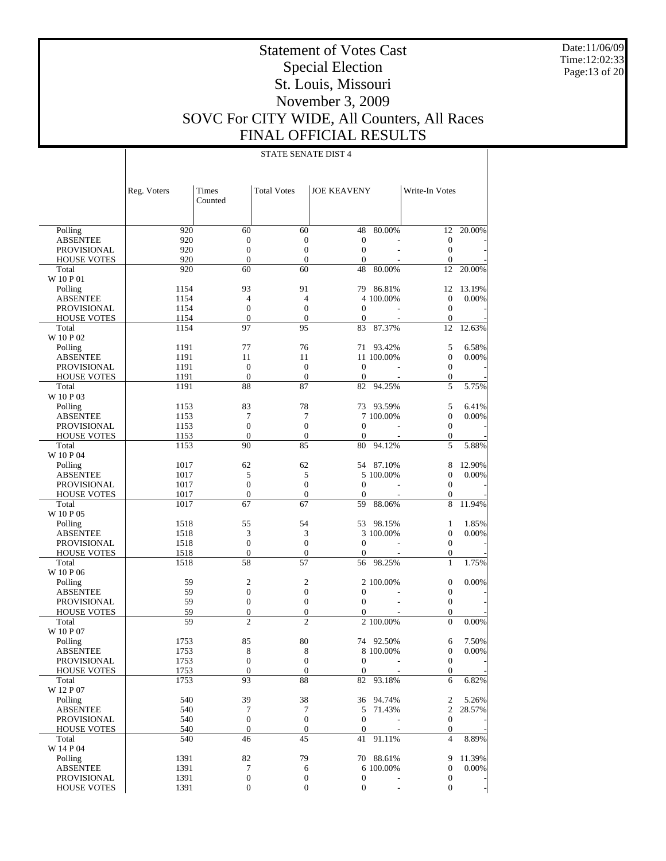Date:11/06/09 Time:12:02:33 Page:13 of 20

# Statement of Votes Cast Special Election St. Louis, Missouri November 3, 2009 SOVC For CITY WIDE, All Counters, All Races FINAL OFFICIAL RESULTS

|                                          | Reg. Voters  | Times<br>Counted   | <b>Total Votes</b>    | <b>JOE KEAVENY</b> |            | Write-In Votes                       |                          |
|------------------------------------------|--------------|--------------------|-----------------------|--------------------|------------|--------------------------------------|--------------------------|
| Polling                                  | 920          | 60                 | 60                    | 48                 | 80.00%     | 12                                   | 20.00%                   |
| <b>ABSENTEE</b>                          | 920          | $\boldsymbol{0}$   | $\mathbf{0}$          | $\boldsymbol{0}$   |            | $\mathbf{0}$                         |                          |
| <b>PROVISIONAL</b>                       | 920          | $\boldsymbol{0}$   | $\mathbf{0}$          | $\boldsymbol{0}$   |            | $\boldsymbol{0}$                     |                          |
| <b>HOUSE VOTES</b>                       | 920          | $\overline{0}$     | $\mathbf{0}$          | $\mathbf{0}$       |            | $\mathbf{0}$                         |                          |
| Total                                    | 920          | 60                 | 60                    | 48                 | 80.00%     | 12                                   | 20.00%                   |
| W 10 P 01                                |              |                    |                       |                    |            |                                      |                          |
| Polling                                  | 1154         | 93                 | 91                    | 79                 | 86.81%     | 12                                   | 13.19%                   |
| <b>ABSENTEE</b>                          | 1154         | $\overline{4}$     | $\overline{4}$        |                    | 4 100,00%  | $\mathbf{0}$                         | 0.00%                    |
| <b>PROVISIONAL</b>                       | 1154         | $\boldsymbol{0}$   | $\mathbf{0}$          | $\mathbf{0}$       |            | $\boldsymbol{0}$                     |                          |
| <b>HOUSE VOTES</b>                       | 1154         | $\boldsymbol{0}$   | $\mathbf{0}$          | $\mathbf{0}$       |            | $\mathbf{0}$                         |                          |
| Total                                    | 1154         | 97                 | 95                    | 83                 | 87.37%     | 12                                   | 12.63%                   |
| W 10 P 02                                |              |                    |                       |                    |            |                                      |                          |
| Polling                                  | 1191         | 77                 | 76                    | 71                 | 93.42%     | 5                                    | 6.58%                    |
| <b>ABSENTEE</b>                          | 1191<br>1191 | 11<br>$\mathbf{0}$ | 11<br>$\mathbf{0}$    | $\mathbf{0}$       | 11 100.00% | $\boldsymbol{0}$<br>$\boldsymbol{0}$ | 0.00%                    |
| <b>PROVISIONAL</b><br><b>HOUSE VOTES</b> | 1191         | $\boldsymbol{0}$   | $\mathbf{0}$          | $\boldsymbol{0}$   |            | $\boldsymbol{0}$                     |                          |
| Total                                    | 1191         | 88                 | 87                    | 82                 | 94.25%     | 5                                    | 5.75%                    |
| W 10 P 03                                |              |                    |                       |                    |            |                                      |                          |
| Polling                                  | 1153         | 83                 | 78                    |                    | 73 93.59%  | 5                                    | 6.41%                    |
| <b>ABSENTEE</b>                          | 1153         | $\tau$             | 7                     |                    | 7 100,00%  | $\boldsymbol{0}$                     | 0.00%                    |
| <b>PROVISIONAL</b>                       | 1153         | $\overline{0}$     | $\mathbf{0}$          | $\mathbf{0}$       |            | $\boldsymbol{0}$                     |                          |
| <b>HOUSE VOTES</b>                       | 1153         | $\boldsymbol{0}$   | $\mathbf{0}$          | $\overline{0}$     |            | $\boldsymbol{0}$                     |                          |
| Total                                    | 1153         | 90                 | 85                    | 80                 | 94.12%     | 5                                    | 5.88%                    |
| W 10 P 04                                |              |                    |                       |                    |            |                                      |                          |
| Polling                                  | 1017         | 62                 | 62                    |                    | 54 87.10%  | 8                                    | 12.90%                   |
| <b>ABSENTEE</b>                          | 1017         | 5                  | 5                     |                    | 5 100.00%  | $\mathbf{0}$                         | 0.00%                    |
| <b>PROVISIONAL</b>                       | 1017         | $\boldsymbol{0}$   | $\boldsymbol{0}$      | $\mathbf 0$        |            | $\boldsymbol{0}$                     |                          |
| <b>HOUSE VOTES</b>                       | 1017         | $\boldsymbol{0}$   | $\mathbf{0}$          | $\boldsymbol{0}$   |            | $\boldsymbol{0}$                     |                          |
| Total                                    | 1017         | 67                 | 67                    | 59                 | 88.06%     | 8                                    | 11.94%                   |
| W 10 P 05                                |              |                    |                       |                    |            |                                      |                          |
| Polling                                  | 1518         | 55                 | 54                    | 53                 | 98.15%     | 1                                    | 1.85%                    |
| <b>ABSENTEE</b>                          | 1518         | 3                  | 3                     |                    | 3 100.00%  | $\boldsymbol{0}$                     | 0.00%                    |
| <b>PROVISIONAL</b>                       | 1518         | $\boldsymbol{0}$   | $\boldsymbol{0}$      | $\mathbf{0}$       |            | $\boldsymbol{0}$                     |                          |
| <b>HOUSE VOTES</b>                       | 1518         | $\boldsymbol{0}$   | $\mathbf{0}$          | $\overline{0}$     |            | $\boldsymbol{0}$                     |                          |
| Total<br>W 10 P 06                       | 1518         | 58                 | 57                    | 56                 | 98.25%     | $\mathbf{1}$                         | 1.75%                    |
| Polling                                  | 59           | $\mathfrak{2}$     | $\overline{2}$        |                    | 2 100.00%  | $\boldsymbol{0}$                     | 0.00%                    |
| <b>ABSENTEE</b>                          | 59           | $\boldsymbol{0}$   | $\boldsymbol{0}$      | $\boldsymbol{0}$   |            | $\boldsymbol{0}$                     |                          |
| <b>PROVISIONAL</b>                       | 59           | $\boldsymbol{0}$   | $\boldsymbol{0}$      | $\boldsymbol{0}$   |            | $\boldsymbol{0}$                     |                          |
| <b>HOUSE VOTES</b>                       | 59           | $\boldsymbol{0}$   | $\boldsymbol{0}$      | $\Omega$           |            | $\mathbf{0}$                         |                          |
| Total                                    | 59           | $\overline{c}$     | $\overline{c}$        |                    | 2 100.00%  | $\boldsymbol{0}$                     | 0.00%                    |
| W 10 P 07                                |              |                    |                       |                    |            |                                      |                          |
| Polling                                  | 1753         | 85                 | 80                    |                    | 74 92.50%  | 6                                    | 7.50%                    |
| <b>ABSENTEE</b>                          | 1753         | 8                  | 8                     |                    | 8 100.00%  | 0                                    | 0.00%                    |
| PROVISIONAL                              | 1753         | $\overline{0}$     | $\theta$              | $\mathbf 0$        |            | $\mathbf{0}$                         |                          |
| <b>HOUSE VOTES</b>                       | 1753         | $\mathbf{0}$       | $\mathbf{0}$          | $\mathbf{0}$       |            | $\mathbf{0}$                         | $\overline{\phantom{a}}$ |
| Total                                    | 1753         | 93                 | 88                    | 82                 | 93.18%     | 6                                    | 6.82%                    |
| W 12 P 07                                |              |                    |                       |                    |            |                                      |                          |
| Polling                                  | 540          | 39                 | 38                    |                    | 36 94.74%  | 2                                    | 5.26%                    |
| ABSENTEE                                 | 540          | 7                  | 7                     | 5                  | 71.43%     | 2                                    | 28.57%                   |
| <b>PROVISIONAL</b>                       | 540          | $\boldsymbol{0}$   | $\boldsymbol{0}$      | $\boldsymbol{0}$   |            | $\boldsymbol{0}$                     |                          |
| <b>HOUSE VOTES</b>                       | 540          | $\boldsymbol{0}$   | $\boldsymbol{0}$      | $\mathbf{0}$       |            | $\boldsymbol{0}$                     |                          |
| Total                                    | 540          | 46                 | 45                    | 41                 | 91.11%     | 4                                    | 8.89%                    |
| W 14 P 04                                |              |                    |                       |                    |            |                                      |                          |
| Polling                                  | 1391         | 82<br>7            | 79                    |                    | 70 88.61%  | 9                                    | 11.39%                   |
| ABSENTEE<br>PROVISIONAL                  | 1391<br>1391 | $\boldsymbol{0}$   | 6<br>$\boldsymbol{0}$ | $\mathbf{0}$       | 6 100.00%  | $\boldsymbol{0}$<br>$\mathbf{0}$     | 0.00%                    |
| <b>HOUSE VOTES</b>                       | 1391         | $\boldsymbol{0}$   | $\boldsymbol{0}$      | $\boldsymbol{0}$   |            | $\boldsymbol{0}$                     |                          |
|                                          |              |                    |                       |                    |            |                                      |                          |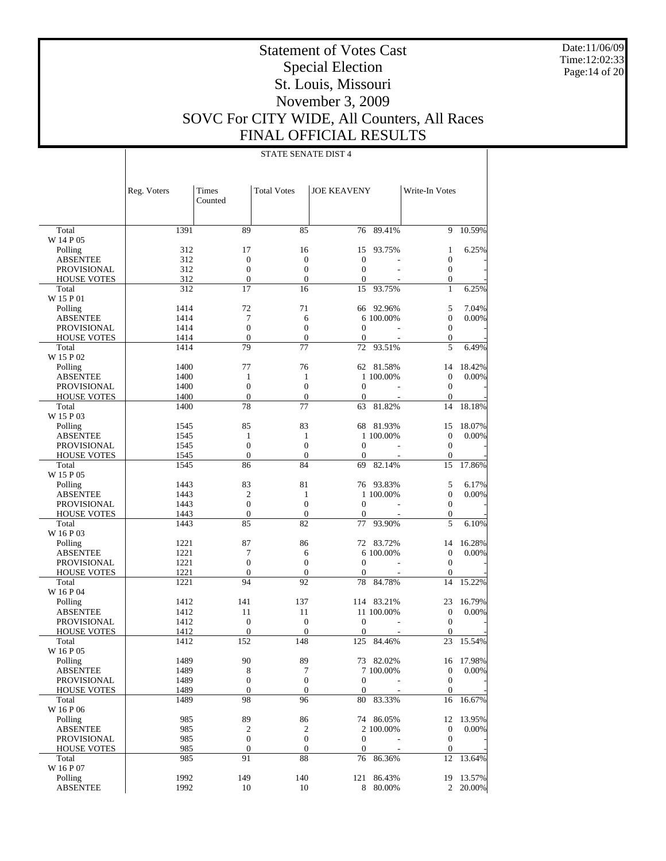Date:11/06/09 Time:12:02:33 Page:14 of 20

# Statement of Votes Cast Special Election St. Louis, Missouri November 3, 2009 SOVC For CITY WIDE, All Counters, All Races FINAL OFFICIAL RESULTS

|                             | Reg. Voters  | Times<br>Counted    | <b>Total Votes</b>      | <b>JOE KEAVENY</b>           |                              | Write-In Votes                   |           |
|-----------------------------|--------------|---------------------|-------------------------|------------------------------|------------------------------|----------------------------------|-----------|
|                             |              |                     |                         |                              | 89.41%                       | 9                                | 10.59%    |
| Total<br>W 14 P 05          | 1391         | 89                  | 85                      | 76                           |                              |                                  |           |
| Polling                     | 312          | 17                  | 16                      | 15                           | 93.75%                       | 1                                | 6.25%     |
| <b>ABSENTEE</b>             | 312          | $\boldsymbol{0}$    | $\mathbf{0}$            | $\boldsymbol{0}$             |                              | $\boldsymbol{0}$                 |           |
| <b>PROVISIONAL</b>          | 312          | $\overline{0}$      | $\mathbf{0}$            | $\mathbf{0}$                 |                              | $\boldsymbol{0}$                 |           |
| <b>HOUSE VOTES</b>          | 312          | $\boldsymbol{0}$    | $\boldsymbol{0}$        | $\theta$                     |                              | $\boldsymbol{0}$                 |           |
| Total                       | 312          | 17                  | 16                      | 15                           | 93.75%                       | $\mathbf{1}$                     | 6.25%     |
| W 15 P 01                   |              |                     |                         |                              |                              |                                  |           |
| Polling                     | 1414         | 72                  | 71                      | 66                           | 92.96%                       | 5                                | 7.04%     |
| <b>ABSENTEE</b>             | 1414         | 7                   | 6                       |                              | 6 100.00%                    | $\overline{0}$                   | 0.00%     |
| <b>PROVISIONAL</b>          | 1414         | $\overline{0}$      | $\mathbf{0}$            | $\mathbf{0}$                 |                              | $\mathbf{0}$                     |           |
| <b>HOUSE VOTES</b>          | 1414         | $\overline{0}$      | $\mathbf{0}$            | $\theta$                     |                              | $\boldsymbol{0}$                 |           |
| Total                       | 1414         | 79                  | 77                      | 72                           | 93.51%                       | 5                                | 6.49%     |
| W 15 P 02                   |              |                     |                         |                              |                              |                                  |           |
| Polling                     | 1400         | 77                  | 76                      |                              | 62 81.58%                    | 14                               | 18.42%    |
| <b>ABSENTEE</b>             | 1400         | $\mathbf{1}$        | 1                       |                              | 1 100.00%                    | $\mathbf{0}$                     | 0.00%     |
| <b>PROVISIONAL</b>          | 1400         | $\overline{0}$      | $\overline{0}$          | $\mathbf{0}$                 |                              | $\boldsymbol{0}$                 |           |
| <b>HOUSE VOTES</b>          | 1400         | $\boldsymbol{0}$    | $\mathbf{0}$            | $\mathbf{0}$                 |                              | $\mathbf{0}$                     |           |
| Total<br>W 15 P 03          | 1400         | 78                  | 77                      | 63                           | 81.82%                       | 14                               | 18.18%    |
| Polling                     | 1545         | 85                  | 83                      | 68                           | 81.93%                       | 15                               | 18.07%    |
| <b>ABSENTEE</b>             | 1545         | 1                   | $\mathbf{1}$            |                              | 1 100.00%                    | $\mathbf{0}$                     | 0.00%     |
| <b>PROVISIONAL</b>          | 1545         | $\overline{0}$      | $\overline{0}$          | $\mathbf{0}$                 |                              | $\boldsymbol{0}$                 |           |
| <b>HOUSE VOTES</b>          | 1545         | $\boldsymbol{0}$    | $\boldsymbol{0}$        | $\theta$                     |                              | $\mathbf{0}$                     |           |
| Total                       | 1545         | 86                  | 84                      | 69                           | 82.14%                       | 15                               | 17.86%    |
| W 15 P 05                   |              |                     |                         |                              |                              |                                  |           |
| Polling                     | 1443         | 83                  | 81                      |                              | 76 93.83%                    | 5                                | 6.17%     |
| <b>ABSENTEE</b>             | 1443         | $\overline{c}$      | $\mathbf{1}$            |                              | 1 100.00%                    | $\mathbf{0}$                     | 0.00%     |
| <b>PROVISIONAL</b>          | 1443         | $\mathbf{0}$        | $\overline{0}$          | $\mathbf{0}$                 | $\overline{a}$               | $\boldsymbol{0}$                 |           |
| <b>HOUSE VOTES</b>          | 1443         | $\boldsymbol{0}$    | $\boldsymbol{0}$        | $\theta$                     |                              | $\boldsymbol{0}$                 |           |
| Total                       | 1443         | 85                  | 82                      | 77                           | 93.90%                       | 5                                | 6.10%     |
| W 16 P 03                   |              |                     |                         |                              |                              |                                  |           |
| Polling                     | 1221         | 87                  | 86                      | 72                           | 83.72%                       | 14                               | 16.28%    |
| <b>ABSENTEE</b>             | 1221         | 7                   | 6                       |                              | 6 100.00%                    | $\mathbf{0}$                     | 0.00%     |
| <b>PROVISIONAL</b>          | 1221         | $\overline{0}$      | $\mathbf{0}$            | $\mathbf{0}$                 |                              | $\boldsymbol{0}$                 |           |
| <b>HOUSE VOTES</b>          | 1221         | $\boldsymbol{0}$    | $\mathbf{0}$            | $\mathbf{0}$                 |                              | $\mathbf{0}$                     |           |
| Total                       | 1221         | 94                  | 92                      | 78                           | 84.78%                       | 14                               | 15.22%    |
| W 16 P 04                   |              |                     |                         |                              |                              |                                  |           |
| Polling                     | 1412         | 141                 | 137                     |                              | 114 83.21%                   | 23                               | 16.79%    |
| <b>ABSENTEE</b>             | 1412         | 11                  | 11                      |                              | 11 100.00%<br>$\overline{a}$ | $\mathbf{0}$                     | 0.00%     |
| <b>PROVISIONAL</b>          | 1412         | $\mathbf{0}$        | $\boldsymbol{0}$        | $\mathbf{0}$<br>$\mathbf{0}$ |                              | $\boldsymbol{0}$<br>$\mathbf{0}$ |           |
| <b>HOUSE VOTES</b><br>Total | 1412<br>1412 | $\mathbf{0}$<br>152 | $\boldsymbol{0}$<br>148 | 125                          | 84.46%                       | 23                               | 15.54%    |
| W 16 P 05                   |              |                     |                         |                              |                              |                                  |           |
| Polling                     | 1489         | 90                  | 89                      | 73                           | 82.02%                       |                                  | 16 17.98% |
| <b>ABSENTEE</b>             | 1489         | 8                   | $\overline{7}$          |                              | 7 100.00%                    | $\mathbf{0}$                     | 0.00%     |
| <b>PROVISIONAL</b>          | 1489         | $\boldsymbol{0}$    | $\boldsymbol{0}$        | $\boldsymbol{0}$             |                              | $\mathbf{0}$                     |           |
| <b>HOUSE VOTES</b>          | 1489         | $\boldsymbol{0}$    | $\boldsymbol{0}$        | $\boldsymbol{0}$             |                              | $\boldsymbol{0}$                 |           |
| Total                       | 1489         | 98                  | 96                      | 80                           | 83.33%                       | 16                               | 16.67%    |
| W 16 P 06                   |              |                     |                         |                              |                              |                                  |           |
| Polling                     | 985          | 89                  | 86                      |                              | 74 86.05%                    | 12                               | 13.95%    |
| <b>ABSENTEE</b>             | 985          | 2                   | 2                       |                              | 2 100,00%                    | $\mathbf{0}$                     | 0.00%     |
| PROVISIONAL                 | 985          | $\boldsymbol{0}$    | $\boldsymbol{0}$        | $\mathbf{0}$                 |                              | $\mathbf{0}$                     |           |
| <b>HOUSE VOTES</b>          | 985          | $\boldsymbol{0}$    | $\boldsymbol{0}$        | $\mathbf{0}$                 |                              | $\boldsymbol{0}$                 |           |
| Total                       | 985          | 91                  | 88                      | 76                           | 86.36%                       | 12                               | 13.64%    |
| W 16 P 07                   |              |                     |                         |                              |                              |                                  |           |
| Polling                     | 1992         | 149                 | 140                     | 121                          | 86.43%                       | 19                               | 13.57%    |
| <b>ABSENTEE</b>             | 1992         | 10                  | 10                      | 8                            | 80.00%                       | $\overline{2}$                   | 20.00%    |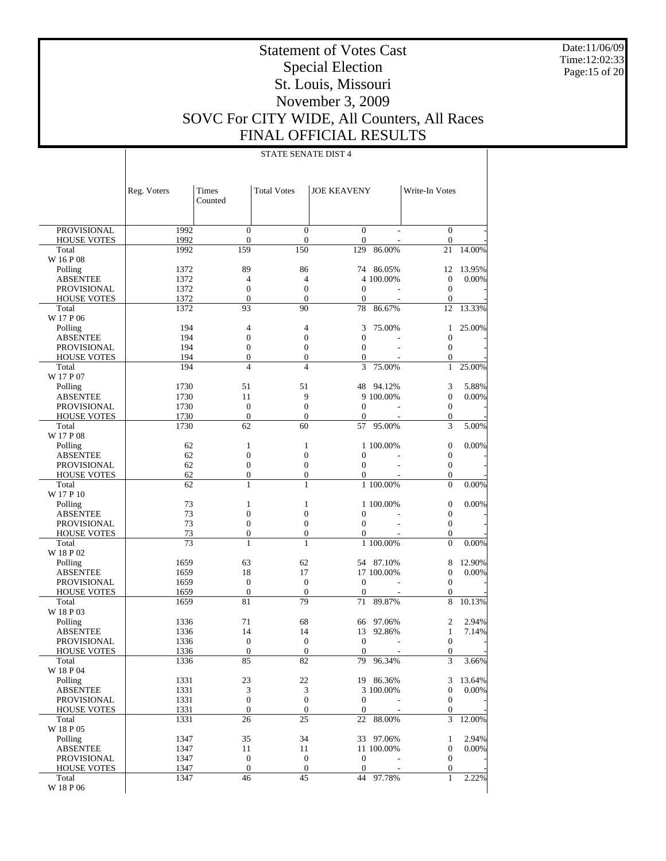Date:11/06/09 Time:12:02:33 Page:15 of 20

# Statement of Votes Cast Special Election St. Louis, Missouri November 3, 2009 SOVC For CITY WIDE, All Counters, All Races FINAL OFFICIAL RESULTS

|                                   | Reg. Voters  | Times<br>Counted             | <b>Total Votes</b>               | <b>JOE KEAVENY</b>               |            | Write-In Votes                       |        |
|-----------------------------------|--------------|------------------------------|----------------------------------|----------------------------------|------------|--------------------------------------|--------|
| PROVISIONAL                       | 1992         | $\boldsymbol{0}$             | $\boldsymbol{0}$                 | $\boldsymbol{0}$                 |            | $\boldsymbol{0}$                     |        |
| <b>HOUSE VOTES</b>                | 1992         | $\boldsymbol{0}$             | $\boldsymbol{0}$                 | $\boldsymbol{0}$                 |            | $\boldsymbol{0}$                     |        |
| Total                             | 1992         | 159                          | 150                              | 129                              | 86.00%     | 21                                   | 14.00% |
| W 16 P 08                         |              |                              |                                  |                                  |            |                                      |        |
| Polling                           | 1372         | 89                           | 86                               | 74                               | 86.05%     | 12                                   | 13.95% |
| <b>ABSENTEE</b>                   | 1372         | $\overline{4}$               | $\overline{4}$                   |                                  | 4 100.00%  | $\mathbf{0}$                         | 0.00%  |
| <b>PROVISIONAL</b>                | 1372         | $\boldsymbol{0}$             | $\boldsymbol{0}$                 | $\mathbf{0}$                     |            | $\boldsymbol{0}$                     |        |
| <b>HOUSE VOTES</b><br>Total       | 1372<br>1372 | $\boldsymbol{0}$<br>93       | $\mathbf{0}$<br>90               | $\theta$<br>78                   | 86.67%     | $\mathbf{0}$<br>12                   | 13.33% |
| W 17 P 06                         |              |                              |                                  |                                  |            |                                      |        |
| Polling                           | 194          | 4                            | 4                                | 3                                | 75.00%     | 1                                    | 25.00% |
| <b>ABSENTEE</b>                   | 194          | $\boldsymbol{0}$             | $\boldsymbol{0}$                 | $\boldsymbol{0}$                 |            | $\boldsymbol{0}$                     |        |
| PROVISIONAL                       | 194          | $\boldsymbol{0}$             | $\boldsymbol{0}$                 | $\boldsymbol{0}$                 |            | $\boldsymbol{0}$                     |        |
| <b>HOUSE VOTES</b>                | 194          | $\boldsymbol{0}$             | $\boldsymbol{0}$                 | $\theta$                         |            | $\boldsymbol{0}$                     |        |
| Total                             | 194          | $\overline{4}$               | $\overline{4}$                   | 3                                | 75.00%     | $\mathbf{1}$                         | 25.00% |
| W 17 P 07                         |              |                              |                                  |                                  |            |                                      |        |
| Polling                           | 1730         | 51                           | 51                               |                                  | 48 94.12%  | 3                                    | 5.88%  |
| <b>ABSENTEE</b>                   | 1730         | 11                           | 9                                |                                  | 9 100.00%  | $\boldsymbol{0}$                     | 0.00%  |
| <b>PROVISIONAL</b>                | 1730         | $\mathbf{0}$                 | $\boldsymbol{0}$                 | $\mathbf{0}$                     |            | $\boldsymbol{0}$                     |        |
| <b>HOUSE VOTES</b>                | 1730         | $\boldsymbol{0}$             | $\mathbf{0}$                     | $\theta$                         |            | $\boldsymbol{0}$                     |        |
| Total                             | 1730         | 62                           | 60                               | 57                               | 95.00%     | 3                                    | 5.00%  |
| W 17 P 08                         |              |                              |                                  |                                  |            |                                      | 0.00%  |
| Polling<br><b>ABSENTEE</b>        | 62<br>62     | 1<br>$\boldsymbol{0}$        | $\mathbf{1}$<br>$\boldsymbol{0}$ | $\boldsymbol{0}$                 | 1 100.00%  | $\boldsymbol{0}$<br>$\boldsymbol{0}$ |        |
| PROVISIONAL                       | 62           | $\boldsymbol{0}$             | $\boldsymbol{0}$                 | $\boldsymbol{0}$                 |            | $\boldsymbol{0}$                     |        |
| <b>HOUSE VOTES</b>                | 62           | $\boldsymbol{0}$             | $\boldsymbol{0}$                 | $\mathbf{0}$                     |            | $\boldsymbol{0}$                     |        |
| Total                             | 62           | 1                            | 1                                |                                  | 1 100.00%  | $\mathbf{0}$                         | 0.00%  |
| W 17 P 10                         |              |                              |                                  |                                  |            |                                      |        |
| Polling                           | 73           | $\mathbf{1}$                 | $\mathbf{1}$                     |                                  | 1 100.00%  | $\boldsymbol{0}$                     | 0.00%  |
| <b>ABSENTEE</b>                   | 73           | $\boldsymbol{0}$             | $\boldsymbol{0}$                 | $\boldsymbol{0}$                 |            | $\boldsymbol{0}$                     |        |
| <b>PROVISIONAL</b>                | 73           | $\boldsymbol{0}$             | $\boldsymbol{0}$                 | $\mathbf{0}$                     |            | $\boldsymbol{0}$                     |        |
| <b>HOUSE VOTES</b>                | 73           | $\boldsymbol{0}$             | $\boldsymbol{0}$                 | $\mathbf{0}$                     |            | $\boldsymbol{0}$                     |        |
| Total                             | 73           | $\mathbf{1}$                 | $\mathbf{1}$                     |                                  | 1 100.00%  | $\boldsymbol{0}$                     | 0.00%  |
| W 18 P 02                         |              |                              |                                  |                                  |            |                                      |        |
| Polling                           | 1659         | 63                           | 62                               |                                  | 54 87.10%  | 8                                    | 12.90% |
| <b>ABSENTEE</b>                   | 1659         | 18                           | 17                               |                                  | 17 100.00% | $\boldsymbol{0}$                     | 0.00%  |
| PROVISIONAL<br><b>HOUSE VOTES</b> | 1659<br>1659 | $\mathbf{0}$<br>$\mathbf{0}$ | $\mathbf{0}$<br>$\mathbf{0}$     | $\boldsymbol{0}$<br>$\mathbf{0}$ |            | $\boldsymbol{0}$<br>$\mathbf{0}$     |        |
| Total                             | 1659         | 81                           | 79                               | 71                               | 89.87%     | 8                                    | 10.13% |
| W 18 P 03                         |              |                              |                                  |                                  |            |                                      |        |
| Polling                           | 1336         | 71                           | 68                               | 66                               | 97.06%     | $\mathfrak{2}$                       | 2.94%  |
| <b>ABSENTEE</b>                   | 1336         | 14                           | 14                               | 13                               | 92.86%     | $\mathbf{1}$                         | 7.14%  |
| <b>PROVISIONAL</b>                | 1336         | $\mathbf{0}$                 | $\mathbf{0}$                     | $\boldsymbol{0}$                 |            | $\boldsymbol{0}$                     |        |
| <b>HOUSE VOTES</b>                | 1336         | $\boldsymbol{0}$             | $\mathbf{0}$                     | $\mathbf{0}$                     |            | $\boldsymbol{0}$                     |        |
| Total                             | 1336         | 85                           | 82                               | 79                               | 96.34%     | 3                                    | 3.66%  |
| W 18 P 04                         |              |                              |                                  |                                  |            |                                      |        |
| Polling                           | 1331         | 23                           | 22                               |                                  | 19 86.36%  | 3                                    | 13.64% |
| <b>ABSENTEE</b>                   | 1331         | 3                            | 3                                |                                  | 3 100,00%  | $\boldsymbol{0}$                     | 0.00%  |
| PROVISIONAL                       | 1331         | $\boldsymbol{0}$             | $\mathbf{0}$                     | $\boldsymbol{0}$                 |            | $\boldsymbol{0}$                     |        |
| <b>HOUSE VOTES</b>                | 1331         | $\mathbf{0}$                 | $\mathbf{0}$                     | $\boldsymbol{0}$                 |            | $\boldsymbol{0}$                     | 12.00% |
| Total<br>W 18 P 05                | 1331         | 26                           | 25                               | 22                               | 88.00%     | 3                                    |        |
| Polling                           | 1347         | 35                           | 34                               |                                  | 33 97.06%  | 1                                    | 2.94%  |
| <b>ABSENTEE</b>                   | 1347         | 11                           | 11                               |                                  | 11 100.00% | $\boldsymbol{0}$                     | 0.00%  |
| <b>PROVISIONAL</b>                | 1347         | $\boldsymbol{0}$             | $\mathbf{0}$                     | $\boldsymbol{0}$                 |            | $\boldsymbol{0}$                     |        |
| <b>HOUSE VOTES</b>                | 1347         | $\mathbf{0}$                 | $\boldsymbol{0}$                 | $\mathbf{0}$                     |            | $\boldsymbol{0}$                     |        |
| Total                             | 1347         | 46                           | 45                               | 44                               | 97.78%     | $\mathbf{1}$                         | 2.22%  |
| W 18 P 06                         |              |                              |                                  |                                  |            |                                      |        |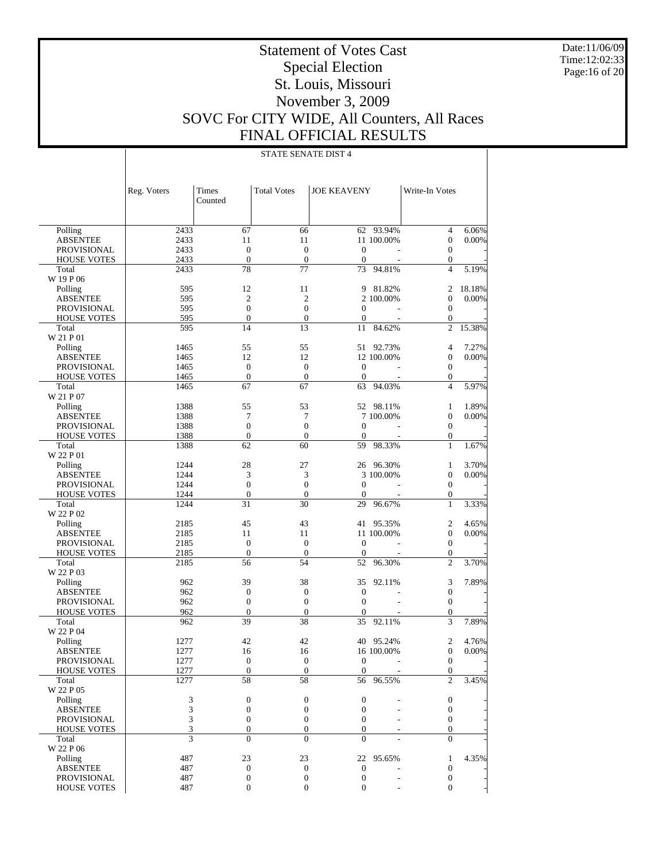Date:11/06/09 Time:12:02:33 Page:16 of 20

# Statement of Votes Cast Special Election St. Louis, Missouri November 3, 2009 SOVC For CITY WIDE, All Counters, All Races FINAL OFFICIAL RESULTS

|                    | Reg. Voters | Times<br>Counted | <b>Total Votes</b> | <b>JOE KEAVENY</b> |            | Write-In Votes   |        |
|--------------------|-------------|------------------|--------------------|--------------------|------------|------------------|--------|
| Polling            | 2433        | 67               | 66                 |                    | 62 93.94%  | 4                | 6.06%  |
| <b>ABSENTEE</b>    | 2433        | 11               | 11                 |                    | 11 100.00% | $\boldsymbol{0}$ | 0.00%  |
| <b>PROVISIONAL</b> | 2433        | $\overline{0}$   | $\boldsymbol{0}$   | $\boldsymbol{0}$   |            | $\boldsymbol{0}$ |        |
| <b>HOUSE VOTES</b> | 2433        | $\overline{0}$   | $\mathbf{0}$       | $\mathbf{0}$       |            | 0                |        |
| Total              | 2433        | 78               | 77                 | 73                 | 94.81%     | $\overline{4}$   | 5.19%  |
| W 19 P 06          |             |                  |                    |                    |            |                  |        |
| Polling            | 595         | 12               | 11                 |                    | 9 81.82%   | 2                | 18.18% |
| <b>ABSENTEE</b>    | 595         | $\overline{2}$   | $\overline{2}$     |                    | 2 100.00%  | $\boldsymbol{0}$ | 0.00%  |
| <b>PROVISIONAL</b> | 595         | $\overline{0}$   | $\overline{0}$     | $\mathbf{0}$       |            | $\boldsymbol{0}$ |        |
| <b>HOUSE VOTES</b> | 595         | $\boldsymbol{0}$ | $\boldsymbol{0}$   | $\mathbf{0}$       |            | $\boldsymbol{0}$ |        |
| Total              | 595         | 14               | 13                 | 11                 | 84.62%     | $\overline{c}$   | 15.38% |
| W 21 P 01          |             |                  |                    |                    |            |                  |        |
| Polling            | 1465        | 55               | 55                 | 51                 | 92.73%     | 4                | 7.27%  |
| <b>ABSENTEE</b>    | 1465        | 12               | 12                 |                    | 12 100.00% | $\boldsymbol{0}$ | 0.00%  |
| <b>PROVISIONAL</b> | 1465        | $\boldsymbol{0}$ | $\boldsymbol{0}$   | $\boldsymbol{0}$   |            | $\boldsymbol{0}$ |        |
| <b>HOUSE VOTES</b> | 1465        | $\boldsymbol{0}$ | $\boldsymbol{0}$   | $\mathbf{0}$       |            | 0                |        |
| Total              | 1465        | 67               | 67                 | 63                 | 94.03%     | $\overline{4}$   | 5.97%  |
| W 21 P 07          |             |                  |                    |                    |            |                  |        |
| Polling            | 1388        | 55               | 53                 |                    | 52 98.11%  | 1                | 1.89%  |
| <b>ABSENTEE</b>    | 1388        | 7                | 7                  |                    | 7 100.00%  | $\boldsymbol{0}$ | 0.00%  |
| <b>PROVISIONAL</b> | 1388        | $\boldsymbol{0}$ | $\mathbf{0}$       | $\mathbf{0}$       |            | $\boldsymbol{0}$ |        |
| <b>HOUSE VOTES</b> | 1388        | $\boldsymbol{0}$ | $\mathbf{0}$       | $\theta$           |            | $\boldsymbol{0}$ |        |
| Total              | 1388        | 62               | 60                 | 59                 | 98.33%     | $\mathbf{1}$     | 1.67%  |
| W 22 P 01          |             |                  |                    |                    |            |                  |        |
| Polling            | 1244        | 28               | 27                 |                    | 26 96.30%  | $\mathbf{1}$     | 3.70%  |
| <b>ABSENTEE</b>    | 1244        | 3                | 3                  |                    | 3 100.00%  | $\boldsymbol{0}$ | 0.00%  |
| <b>PROVISIONAL</b> | 1244        | $\overline{0}$   | $\boldsymbol{0}$   | $\mathbf{0}$       |            | $\boldsymbol{0}$ |        |
| <b>HOUSE VOTES</b> | 1244        | $\boldsymbol{0}$ | $\mathbf{0}$       | $\boldsymbol{0}$   |            | $\boldsymbol{0}$ |        |
| Total              | 1244        | 31               | 30                 | 29                 | 96.67%     | $\mathbf{1}$     | 3.33%  |
| W 22 P 02          |             |                  |                    |                    |            |                  |        |
| Polling            | 2185        | 45               | 43                 |                    | 41 95.35%  | 2                | 4.65%  |
| <b>ABSENTEE</b>    | 2185        | 11               | 11                 |                    | 11 100.00% | $\boldsymbol{0}$ | 0.00%  |
| <b>PROVISIONAL</b> | 2185        | $\boldsymbol{0}$ | $\boldsymbol{0}$   | $\mathbf{0}$       | ÷          | $\boldsymbol{0}$ |        |
| <b>HOUSE VOTES</b> | 2185        | $\boldsymbol{0}$ | $\boldsymbol{0}$   | $\boldsymbol{0}$   |            | 0                |        |
| Total              | 2185        | 56               | 54                 | 52                 | 96.30%     | $\overline{c}$   | 3.70%  |
| W 22 P 03          |             |                  |                    |                    |            |                  |        |
| Polling            | 962         | 39               | 38                 | 35                 | 92.11%     | 3                | 7.89%  |
| <b>ABSENTEE</b>    | 962         | $\boldsymbol{0}$ | $\boldsymbol{0}$   | $\mathbf{0}$       |            | $\boldsymbol{0}$ |        |
| <b>PROVISIONAL</b> | 962         | $\boldsymbol{0}$ | $\boldsymbol{0}$   | $\boldsymbol{0}$   |            | $\boldsymbol{0}$ |        |
| <b>HOUSE VOTES</b> | 962         | $\boldsymbol{0}$ | $\mathbf{0}$       | $\boldsymbol{0}$   |            | $\boldsymbol{0}$ |        |
| Total              | 962         | 39               | 38                 | 35                 | 92.11%     | 3                | 7.89%  |
| W 22 P 04          |             |                  |                    |                    |            |                  |        |
| Polling            | 1277        | 42               | 42                 |                    | 40 95.24%  | 2                | 4.76%  |
| <b>ABSENTEE</b>    | 1277        | 16               | 16                 |                    | 16 100.00% | 0                | 0.00%  |
| <b>PROVISIONAL</b> | 1277        | $\overline{0}$   | $\mathbf{0}$       | $\mathbf{0}$       |            | $\mathbf{0}$     |        |
| <b>HOUSE VOTES</b> | 1277        | $\boldsymbol{0}$ | $\boldsymbol{0}$   | $\boldsymbol{0}$   |            | $\boldsymbol{0}$ |        |
| Total              | 1277        | 58               | 58                 | 56                 | 96.55%     | $\overline{c}$   | 3.45%  |
| W 22 P 05          |             |                  |                    |                    |            |                  |        |
| Polling            | 3           | $\boldsymbol{0}$ | $\boldsymbol{0}$   | $\boldsymbol{0}$   |            | $\boldsymbol{0}$ |        |
| <b>ABSENTEE</b>    | 3           | $\boldsymbol{0}$ | $\boldsymbol{0}$   | $\boldsymbol{0}$   |            | $\boldsymbol{0}$ |        |
| <b>PROVISIONAL</b> | 3           | $\boldsymbol{0}$ | $\boldsymbol{0}$   | $\boldsymbol{0}$   |            | $\boldsymbol{0}$ |        |
| <b>HOUSE VOTES</b> | 3           | $\boldsymbol{0}$ | $\boldsymbol{0}$   | $\boldsymbol{0}$   |            | $\boldsymbol{0}$ |        |
| Total              | 3           | $\Omega$         | $\mathbf{0}$       | $\theta$           |            | $\mathbf{0}$     |        |
| W 22 P 06          |             |                  |                    |                    |            |                  |        |
| Polling            | 487         | 23               | 23                 | 22                 | 95.65%     | 1                | 4.35%  |
| <b>ABSENTEE</b>    | 487         | $\mathbf{0}$     | $\boldsymbol{0}$   | $\boldsymbol{0}$   |            | $\boldsymbol{0}$ |        |
| PROVISIONAL        | 487         | $\boldsymbol{0}$ | $\boldsymbol{0}$   | $\boldsymbol{0}$   |            | $\boldsymbol{0}$ |        |
| <b>HOUSE VOTES</b> | 487         | $\boldsymbol{0}$ | $\boldsymbol{0}$   | $\boldsymbol{0}$   |            | 0                |        |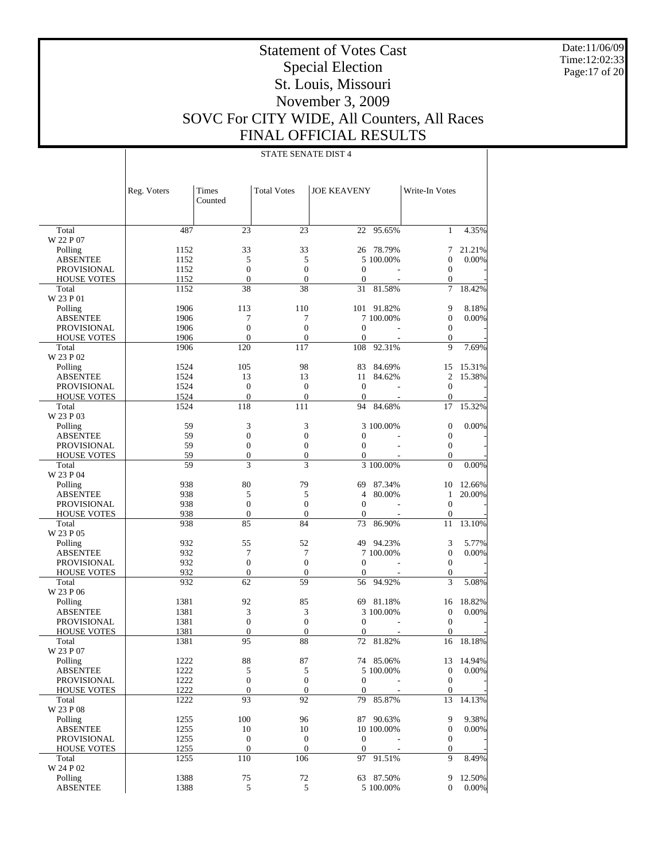Date:11/06/09 Time:12:02:33 Page:17 of 20

# Statement of Votes Cast Special Election St. Louis, Missouri November 3, 2009 SOVC For CITY WIDE, All Counters, All Races FINAL OFFICIAL RESULTS

|                                          | Reg. Voters  | Times<br>Counted    | <b>Total Votes</b> | <b>JOE KEAVENY</b>       |                     | Write-In Votes                       |                |
|------------------------------------------|--------------|---------------------|--------------------|--------------------------|---------------------|--------------------------------------|----------------|
|                                          |              |                     |                    |                          |                     |                                      |                |
| Total                                    | 487          | 23                  | 23                 | 22                       | 95.65%              | $\mathbf{1}$                         | 4.35%          |
| W 22 P 07                                |              |                     |                    |                          |                     |                                      |                |
| Polling                                  | 1152         | 33                  | 33                 | 26                       | 78.79%              | 7                                    | 21.21%         |
| <b>ABSENTEE</b>                          | 1152         | 5<br>$\overline{0}$ | 5<br>$\mathbf{0}$  |                          | 5 100.00%           | $\mathbf{0}$                         | 0.00%          |
| <b>PROVISIONAL</b><br><b>HOUSE VOTES</b> | 1152<br>1152 | $\boldsymbol{0}$    | $\boldsymbol{0}$   | $\mathbf{0}$<br>$\theta$ |                     | $\boldsymbol{0}$<br>$\boldsymbol{0}$ |                |
| Total                                    | 1152         | 38                  | 38                 | 31                       | 81.58%              | $\overline{7}$                       | 18.42%         |
| W 23 P 01                                |              |                     |                    |                          |                     |                                      |                |
| Polling                                  | 1906         | 113                 | 110                |                          | 101 91.82%          | 9                                    | 8.18%          |
| <b>ABSENTEE</b>                          | 1906         | 7                   | 7                  |                          | 7 100.00%           | $\boldsymbol{0}$                     | 0.00%          |
| <b>PROVISIONAL</b>                       | 1906         | $\boldsymbol{0}$    | $\overline{0}$     | $\boldsymbol{0}$         |                     | $\boldsymbol{0}$                     |                |
| <b>HOUSE VOTES</b>                       | 1906         | $\overline{0}$      | $\boldsymbol{0}$   | $\mathbf{0}$             |                     | $\mathbf{0}$                         |                |
| Total                                    | 1906         | 120                 | 117                | 108                      | 92.31%              | 9                                    | 7.69%          |
| W 23 P 02                                |              |                     |                    |                          |                     |                                      |                |
| Polling                                  | 1524         | 105                 | 98                 | 83                       | 84.69%              | 15                                   | 15.31%         |
| <b>ABSENTEE</b>                          | 1524         | 13                  | 13                 | 11                       | 84.62%              | 2                                    | 15.38%         |
| <b>PROVISIONAL</b>                       | 1524         | $\boldsymbol{0}$    | $\mathbf{0}$       | $\boldsymbol{0}$         | L,                  | $\boldsymbol{0}$                     |                |
| <b>HOUSE VOTES</b>                       | 1524         | $\boldsymbol{0}$    | $\boldsymbol{0}$   | $\mathbf{0}$             |                     | $\mathbf{0}$                         |                |
| Total                                    | 1524         | 118                 | 111                | 94                       | 84.68%              | 17                                   | 15.32%         |
| W 23 P 03                                |              |                     |                    |                          |                     |                                      |                |
| Polling                                  | 59           | 3                   | 3                  |                          | 3 100,00%           | $\boldsymbol{0}$                     | 0.00%          |
| <b>ABSENTEE</b>                          | 59           | $\overline{0}$      | $\boldsymbol{0}$   | $\mathbf{0}$             |                     | $\boldsymbol{0}$                     |                |
| <b>PROVISIONAL</b>                       | 59           | $\boldsymbol{0}$    | $\mathbf{0}$       | $\mathbf{0}$             |                     | $\boldsymbol{0}$                     |                |
| <b>HOUSE VOTES</b>                       | 59           | $\boldsymbol{0}$    | $\boldsymbol{0}$   | $\mathbf{0}$             |                     | $\boldsymbol{0}$                     |                |
| Total                                    | 59           | 3                   | 3                  |                          | 3 100.00%           | $\mathbf{0}$                         | 0.00%          |
| W 23 P 04                                |              |                     |                    |                          |                     |                                      |                |
| Polling                                  | 938          | 80                  | 79                 | 69                       | 87.34%              | 10                                   | 12.66%         |
| <b>ABSENTEE</b>                          | 938          | 5                   | 5                  | $\overline{4}$           | 80.00%              | 1                                    | 20.00%         |
| <b>PROVISIONAL</b>                       | 938          | $\boldsymbol{0}$    | $\boldsymbol{0}$   | $\boldsymbol{0}$         | ÷.                  | $\boldsymbol{0}$                     |                |
| <b>HOUSE VOTES</b>                       | 938          | $\boldsymbol{0}$    | $\boldsymbol{0}$   | $\theta$                 |                     | $\boldsymbol{0}$                     |                |
| Total                                    | 938          | 85                  | 84                 | 73                       | 86.90%              | 11                                   | 13.10%         |
| W 23 P 05                                |              | 55                  | 52                 | 49                       |                     |                                      |                |
| Polling<br><b>ABSENTEE</b>               | 932<br>932   | 7                   | 7                  |                          | 94.23%<br>7 100.00% | 3<br>$\boldsymbol{0}$                | 5.77%<br>0.00% |
| <b>PROVISIONAL</b>                       | 932          | $\overline{0}$      | $\boldsymbol{0}$   | $\mathbf{0}$             |                     | $\mathbf{0}$                         |                |
| <b>HOUSE VOTES</b>                       | 932          | $\boldsymbol{0}$    | $\boldsymbol{0}$   | $\theta$                 |                     | $\boldsymbol{0}$                     |                |
| Total                                    | 932          | 62                  | 59                 | 56                       | 94.92%              | 3                                    | 5.08%          |
| W 23 P 06                                |              |                     |                    |                          |                     |                                      |                |
| Polling                                  | 1381         | 92                  | 85                 | 69                       | 81.18%              | 16                                   | 18.82%         |
| <b>ABSENTEE</b>                          | 1381         | 3                   | 3                  |                          | 3 100,00%           | $\mathbf{0}$                         | 0.00%          |
| <b>PROVISIONAL</b>                       | 1381         | $\boldsymbol{0}$    | $\boldsymbol{0}$   | $\mathbf{0}$             |                     | $\boldsymbol{0}$                     |                |
| <b>HOUSE VOTES</b>                       | 1381         | $\boldsymbol{0}$    | $\boldsymbol{0}$   | $\theta$                 |                     | $\mathbf{0}$                         |                |
| Total                                    | 1381         | 95                  | 88                 | 72                       | 81.82%              | 16                                   | 18.18%         |
| W 23 P 07                                |              |                     |                    |                          |                     |                                      |                |
| Polling                                  | 1222         | 88                  | 87                 |                          | 74 85.06%           | 13                                   | 14.94%         |
| ABSENTEE                                 | 1222         | 5                   | 5                  |                          | 5 100.00%           | $\mathbf{0}$                         | 0.00%          |
| <b>PROVISIONAL</b>                       | 1222         | $\boldsymbol{0}$    | $\boldsymbol{0}$   | $\boldsymbol{0}$         |                     | $\boldsymbol{0}$                     |                |
| <b>HOUSE VOTES</b>                       | 1222         | $\boldsymbol{0}$    | $\boldsymbol{0}$   | $\boldsymbol{0}$         |                     | $\boldsymbol{0}$                     |                |
| Total                                    | 1222         | 93                  | 92                 | 79                       | 85.87%              | 13                                   | 14.13%         |
| W 23 P 08                                |              |                     |                    |                          |                     |                                      |                |
| Polling                                  | 1255         | 100                 | 96                 |                          | 87 90.63%           | 9                                    | 9.38%          |
| <b>ABSENTEE</b>                          | 1255         | 10                  | 10                 |                          | 10 100.00%          | $\boldsymbol{0}$                     | 0.00%          |
| PROVISIONAL                              | 1255         | $\boldsymbol{0}$    | $\mathbf{0}$       | $\boldsymbol{0}$         |                     | $\boldsymbol{0}$                     |                |
| <b>HOUSE VOTES</b>                       | 1255         | $\boldsymbol{0}$    | $\boldsymbol{0}$   | $\mathbf{0}$             |                     | $\boldsymbol{0}$                     |                |
| Total                                    | 1255         | 110                 | 106                | 97                       | 91.51%              | 9                                    | 8.49%          |
| W 24 P 02                                |              |                     |                    |                          |                     |                                      |                |
| Polling                                  | 1388         | 75                  | 72                 |                          | 63 87.50%           | 9                                    | 12.50%         |
| <b>ABSENTEE</b>                          | 1388         | 5                   | 5                  |                          | 5 100.00%           | 0                                    | 0.00%          |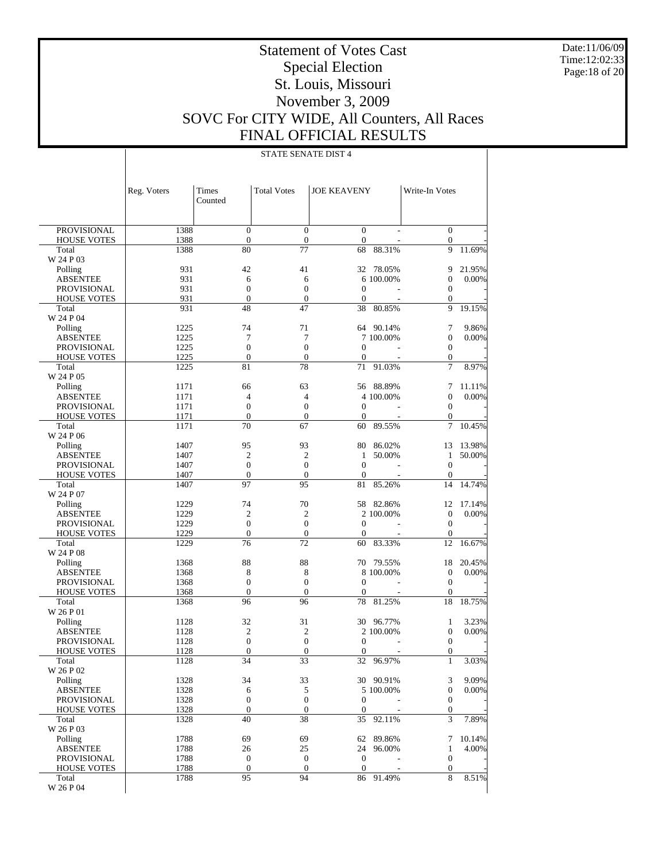Date:11/06/09 Time:12:02:33 Page:18 of 20

# Statement of Votes Cast Special Election St. Louis, Missouri November 3, 2009 SOVC For CITY WIDE, All Counters, All Races FINAL OFFICIAL RESULTS

|                                          | Reg. Voters  | Times<br>Counted                   | <b>Total Votes</b>               | <b>JOE KEAVENY</b>             |                 | Write-In Votes                       |        |
|------------------------------------------|--------------|------------------------------------|----------------------------------|--------------------------------|-----------------|--------------------------------------|--------|
|                                          |              |                                    |                                  |                                |                 |                                      |        |
| <b>PROVISIONAL</b>                       | 1388         | $\overline{0}$<br>$\boldsymbol{0}$ | $\mathbf{0}$<br>$\boldsymbol{0}$ | $\boldsymbol{0}$<br>$\theta$   |                 | $\boldsymbol{0}$<br>$\boldsymbol{0}$ |        |
| <b>HOUSE VOTES</b><br>Total              | 1388<br>1388 | 80                                 | 77                               | 68                             | 88.31%          | 9                                    | 11.69% |
| W 24 P 03                                |              |                                    |                                  |                                |                 |                                      |        |
| Polling                                  | 931          | 42                                 | 41                               | 32                             | 78.05%          | 9                                    | 21.95% |
| <b>ABSENTEE</b>                          | 931          | 6                                  | 6                                |                                | 6 100.00%       | $\mathbf{0}$                         | 0.00%  |
| <b>PROVISIONAL</b>                       | 931          | $\overline{0}$                     | $\mathbf{0}$                     | $\boldsymbol{0}$               |                 | $\mathbf{0}$                         |        |
| <b>HOUSE VOTES</b>                       | 931          | $\overline{0}$                     | $\boldsymbol{0}$                 | $\overline{0}$                 | ÷.              | 0                                    |        |
| Total                                    | 931          | 48                                 | 47                               | 38                             | 80.85%          | 9                                    | 19.15% |
| W 24 P 04                                |              |                                    |                                  |                                |                 |                                      |        |
| Polling                                  | 1225         | 74                                 | 71                               |                                | 64 90.14%       | 7                                    | 9.86%  |
| <b>ABSENTEE</b>                          | 1225         | 7<br>$\overline{0}$                | 7<br>$\mathbf{0}$                |                                | 7 100,00%       | $\mathbf{0}$                         | 0.00%  |
| <b>PROVISIONAL</b><br><b>HOUSE VOTES</b> | 1225<br>1225 | $\boldsymbol{0}$                   | $\boldsymbol{0}$                 | $\mathbf{0}$<br>$\overline{0}$ |                 | $\boldsymbol{0}$<br>$\boldsymbol{0}$ |        |
| Total                                    | 1225         | 81                                 | 78                               | 71                             | 91.03%          | 7                                    | 8.97%  |
| W 24 P 05                                |              |                                    |                                  |                                |                 |                                      |        |
| Polling                                  | 1171         | 66                                 | 63                               | 56                             | 88.89%          | 7                                    | 11.11% |
| <b>ABSENTEE</b>                          | 1171         | 4                                  | $\overline{4}$                   |                                | 4 100,00%       | $\mathbf{0}$                         | 0.00%  |
| <b>PROVISIONAL</b>                       | 1171         | $\overline{0}$                     | $\mathbf{0}$                     | $\mathbf{0}$                   |                 | $\boldsymbol{0}$                     |        |
| <b>HOUSE VOTES</b>                       | 1171         | $\boldsymbol{0}$                   | $\boldsymbol{0}$                 | $\mathbf{0}$                   | ÷,              | $\boldsymbol{0}$                     |        |
| Total                                    | 1171         | 70                                 | 67                               | 60                             | 89.55%          | 7                                    | 10.45% |
| W 24 P 06                                |              |                                    |                                  |                                |                 |                                      |        |
| Polling                                  | 1407         | 95                                 | 93                               | 80                             | 86.02%          | 13                                   | 13.98% |
| <b>ABSENTEE</b>                          | 1407         | $\overline{2}$                     | $\overline{c}$                   | 1                              | 50.00%          | $\mathbf{1}$                         | 50.00% |
| <b>PROVISIONAL</b>                       | 1407         | $\overline{0}$                     | $\mathbf{0}$                     | $\mathbf{0}$                   |                 | $\mathbf{0}$                         |        |
| <b>HOUSE VOTES</b><br>Total              | 1407<br>1407 | $\boldsymbol{0}$<br>97             | $\mathbf{0}$<br>95               | $\overline{0}$<br>81           | 85.26%          | $\boldsymbol{0}$<br>14               | 14.74% |
| W 24 P 07                                |              |                                    |                                  |                                |                 |                                      |        |
| Polling                                  | 1229         | 74                                 | 70                               | 58                             | 82.86%          | 12                                   | 17.14% |
| <b>ABSENTEE</b>                          | 1229         | $\overline{2}$                     | $\overline{2}$                   |                                | 2 100.00%       | $\mathbf{0}$                         | 0.00%  |
| <b>PROVISIONAL</b>                       | 1229         | $\overline{0}$                     | $\mathbf{0}$                     | $\boldsymbol{0}$               |                 | $\mathbf{0}$                         |        |
| <b>HOUSE VOTES</b>                       | 1229         | $\boldsymbol{0}$                   | $\boldsymbol{0}$                 | $\overline{0}$                 | ÷,              | $\boldsymbol{0}$                     |        |
| Total                                    | 1229         | 76                                 | 72                               | 60                             | 83.33%          | 12                                   | 16.67% |
| W 24 P 08                                |              |                                    |                                  |                                |                 |                                      |        |
| Polling                                  | 1368         | 88                                 | 88                               | 70                             | 79.55%          | 18                                   | 20.45% |
| <b>ABSENTEE</b>                          | 1368<br>1368 | 8<br>$\boldsymbol{0}$              | 8<br>$\mathbf{0}$                | $\boldsymbol{0}$               | 8 100,00%<br>÷. | $\boldsymbol{0}$<br>$\mathbf{0}$     | 0.00%  |
| <b>PROVISIONAL</b><br><b>HOUSE VOTES</b> | 1368         | $\overline{0}$                     | $\overline{0}$                   | $\mathbf{0}$                   |                 | $\mathbf{0}$                         |        |
| Total                                    | 1368         | 96                                 | 96                               | 78                             | 81.25%          | 18                                   | 18.75% |
| W 26 P 01                                |              |                                    |                                  |                                |                 |                                      |        |
| Polling                                  | 1128         | 32                                 | 31                               | 30                             | 96.77%          | 1                                    | 3.23%  |
| <b>ABSENTEE</b>                          | 1128         | $\overline{2}$                     | $\overline{2}$                   |                                | 2 100.00%       | $\mathbf{0}$                         | 0.00%  |
| <b>PROVISIONAL</b>                       | 1128         | $\overline{0}$                     | $\mathbf{0}$                     | $\boldsymbol{0}$               |                 | $\boldsymbol{0}$                     |        |
| <b>HOUSE VOTES</b>                       | 1128         | $\boldsymbol{0}$                   | $\boldsymbol{0}$                 | $\boldsymbol{0}$               |                 | $\mathbf{0}$                         |        |
| Total                                    | 1128         | 34                                 | 33                               | 32                             | 96.97%          | $\mathbf{1}$                         | 3.03%  |
| W 26 P 02                                |              |                                    |                                  |                                |                 |                                      |        |
| Polling                                  | 1328         | 34                                 | 33                               |                                | 30 90.91%       | 3                                    | 9.09%  |
| <b>ABSENTEE</b><br><b>PROVISIONAL</b>    | 1328<br>1328 | 6<br>$\boldsymbol{0}$              | 5<br>$\boldsymbol{0}$            | $\boldsymbol{0}$               | 5 100.00%       | $\boldsymbol{0}$<br>$\boldsymbol{0}$ | 0.00%  |
| <b>HOUSE VOTES</b>                       | 1328         | $\boldsymbol{0}$                   | $\boldsymbol{0}$                 | $\theta$                       |                 | $\boldsymbol{0}$                     |        |
| Total                                    | 1328         | 40                                 | 38                               | 35                             | 92.11%          | 3                                    | 7.89%  |
| W 26 P 03                                |              |                                    |                                  |                                |                 |                                      |        |
| Polling                                  | 1788         | 69                                 | 69                               | 62                             | 89.86%          | 7                                    | 10.14% |
| <b>ABSENTEE</b>                          | 1788         | 26                                 | 25                               | 24                             | 96.00%          | $\mathbf{1}$                         | 4.00%  |
| PROVISIONAL                              | 1788         | $\boldsymbol{0}$                   | $\boldsymbol{0}$                 | $\boldsymbol{0}$               |                 | $\boldsymbol{0}$                     |        |
| <b>HOUSE VOTES</b>                       | 1788         | $\boldsymbol{0}$                   | $\boldsymbol{0}$                 | $\boldsymbol{0}$               |                 | $\boldsymbol{0}$                     |        |
| Total                                    | 1788         | 95                                 | 94                               | 86                             | 91.49%          | 8                                    | 8.51%  |
| W 26 P 04                                |              |                                    |                                  |                                |                 |                                      |        |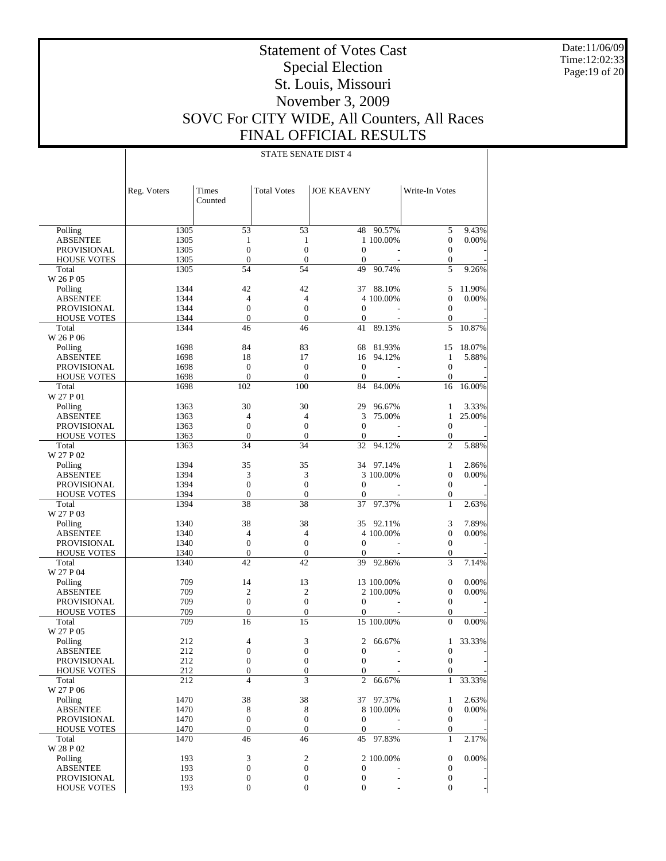Date:11/06/09 Time:12:02:33 Page:19 of 20

# Statement of Votes Cast Special Election St. Louis, Missouri November 3, 2009 SOVC For CITY WIDE, All Counters, All Races FINAL OFFICIAL RESULTS

|                             | Reg. Voters  | Times<br>Counted                     | <b>Total Votes</b>                   | <b>JOE KEAVENY</b>           |            | Write-In Votes                       |        |
|-----------------------------|--------------|--------------------------------------|--------------------------------------|------------------------------|------------|--------------------------------------|--------|
| Polling                     | 1305         | 53                                   | 53                                   |                              | 48 90.57%  | 5                                    | 9.43%  |
| <b>ABSENTEE</b>             | 1305         | $\mathbf{1}$                         | $\mathbf{1}$                         |                              | 1 100.00%  | $\boldsymbol{0}$                     | 0.00%  |
| <b>PROVISIONAL</b>          | 1305         | $\overline{0}$                       | $\mathbf{0}$                         | $\mathbf{0}$                 |            | $\boldsymbol{0}$                     |        |
| <b>HOUSE VOTES</b>          | 1305         | $\boldsymbol{0}$                     | $\mathbf{0}$                         | $\boldsymbol{0}$             |            | $\boldsymbol{0}$                     |        |
| Total                       | 1305         | 54                                   | 54                                   | 49                           | 90.74%     | 5                                    | 9.26%  |
| W 26 P 05                   |              |                                      |                                      |                              |            |                                      |        |
| Polling                     | 1344         | 42                                   | 42                                   | 37                           | 88.10%     | 5                                    | 11.90% |
| <b>ABSENTEE</b>             | 1344         | $\overline{4}$                       | $\overline{4}$                       |                              | 4 100.00%  | $\mathbf{0}$                         | 0.00%  |
| <b>PROVISIONAL</b>          | 1344         | $\boldsymbol{0}$                     | $\boldsymbol{0}$                     | $\mathbf{0}$                 |            | $\boldsymbol{0}$                     |        |
| <b>HOUSE VOTES</b>          | 1344         | $\overline{0}$                       | $\mathbf{0}$                         | $\mathbf{0}$                 |            | $\boldsymbol{0}$                     |        |
| Total                       | 1344         | 46                                   | 46                                   | 41                           | 89.13%     | 5                                    | 10.87% |
| W 26 P 06                   |              |                                      |                                      |                              |            |                                      |        |
| Polling                     | 1698         | 84                                   | 83                                   | 68                           | 81.93%     | 15                                   | 18.07% |
| <b>ABSENTEE</b>             | 1698         | 18                                   | 17                                   | 16                           | 94.12%     | $\mathbf{1}$                         | 5.88%  |
| <b>PROVISIONAL</b>          | 1698         | $\boldsymbol{0}$                     | $\mathbf{0}$                         | $\boldsymbol{0}$             |            | $\boldsymbol{0}$                     |        |
| <b>HOUSE VOTES</b><br>Total | 1698<br>1698 | $\overline{0}$<br>102                | $\mathbf{0}$<br>100                  | $\mathbf{0}$<br>84           | 84.00%     | $\overline{0}$<br>16                 | 16.00% |
| W 27 P 01                   |              |                                      |                                      |                              |            |                                      |        |
| Polling                     | 1363         | 30                                   | 30                                   | 29                           | 96.67%     | 1                                    | 3.33%  |
| <b>ABSENTEE</b>             | 1363         | $\overline{4}$                       | $\overline{4}$                       | 3                            | 75.00%     | $\mathbf{1}$                         | 25.00% |
| PROVISIONAL                 | 1363         | $\boldsymbol{0}$                     | $\mathbf{0}$                         | $\mathbf{0}$                 |            | $\boldsymbol{0}$                     |        |
| <b>HOUSE VOTES</b>          | 1363         | $\boldsymbol{0}$                     | $\mathbf{0}$                         | $\mathbf{0}$                 |            | $\boldsymbol{0}$                     |        |
| Total                       | 1363         | 34                                   | 34                                   | 32                           | 94.12%     | $\overline{c}$                       | 5.88%  |
| W 27 P 02                   |              |                                      |                                      |                              |            |                                      |        |
| Polling                     | 1394         | 35                                   | 35                                   |                              | 34 97.14%  | 1                                    | 2.86%  |
| <b>ABSENTEE</b>             | 1394         | 3                                    | 3                                    |                              | 3 100.00%  | $\boldsymbol{0}$                     | 0.00%  |
| <b>PROVISIONAL</b>          | 1394         | $\boldsymbol{0}$                     | $\boldsymbol{0}$                     | $\mathbf 0$                  |            | $\boldsymbol{0}$                     |        |
| <b>HOUSE VOTES</b>          | 1394         | $\boldsymbol{0}$                     | $\mathbf{0}$                         | $\overline{0}$               |            | $\boldsymbol{0}$                     |        |
| Total                       | 1394         | 38                                   | 38                                   | 37                           | 97.37%     | $\mathbf{1}$                         | 2.63%  |
| W 27 P 03                   |              |                                      |                                      |                              |            |                                      |        |
| Polling                     | 1340         | 38                                   | 38                                   |                              | 35 92.11%  | 3                                    | 7.89%  |
| <b>ABSENTEE</b>             | 1340         | $\overline{4}$                       | $\overline{4}$                       |                              | 4 100.00%  | $\boldsymbol{0}$                     | 0.00%  |
| PROVISIONAL                 | 1340         | $\boldsymbol{0}$                     | $\boldsymbol{0}$                     | $\mathbf{0}$                 |            | $\boldsymbol{0}$                     |        |
| <b>HOUSE VOTES</b>          | 1340         | $\boldsymbol{0}$                     | $\mathbf{0}$                         | $\theta$                     |            | $\boldsymbol{0}$                     |        |
| Total                       | 1340         | 42                                   | 42                                   | 39                           | 92.86%     | 3                                    | 7.14%  |
| W 27 P 04                   |              |                                      |                                      |                              |            |                                      |        |
| Polling                     | 709          | 14                                   | 13                                   |                              | 13 100.00% | $\boldsymbol{0}$                     | 0.00%  |
| <b>ABSENTEE</b>             | 709          | $\overline{c}$                       | $\mathfrak{2}$                       |                              | 2 100.00%  | $\boldsymbol{0}$                     | 0.00%  |
| <b>PROVISIONAL</b>          | 709<br>709   | $\boldsymbol{0}$<br>$\boldsymbol{0}$ | $\boldsymbol{0}$<br>$\boldsymbol{0}$ | $\mathbf{0}$<br>$\mathbf{0}$ |            | $\boldsymbol{0}$<br>$\boldsymbol{0}$ |        |
| <b>HOUSE VOTES</b><br>Total | 709          | 16                                   | 15                                   |                              | 15 100.00% | $\boldsymbol{0}$                     | 0.00%  |
| W 27 P 05                   |              |                                      |                                      |                              |            |                                      |        |
| Polling                     | 212          | 4                                    | 3                                    | 2                            | 66.67%     | 1                                    | 33.33% |
| <b>ABSENTEE</b>             | 212          | $\boldsymbol{0}$                     | $\boldsymbol{0}$                     | $\boldsymbol{0}$             |            | $\boldsymbol{0}$                     |        |
| PROVISIONAL                 | 212          | $\overline{0}$                       | $\theta$                             | $\boldsymbol{0}$             |            | $\overline{0}$                       |        |
| <b>HOUSE VOTES</b>          | 212          | $\boldsymbol{0}$                     | $\boldsymbol{0}$                     | $\boldsymbol{0}$             |            | $\boldsymbol{0}$                     |        |
| Total                       | 212          | $\overline{\mathcal{L}}$             | $\overline{3}$                       | 2                            | 66.67%     | $\mathbf{1}$                         | 33.33% |
| W 27 P 06                   |              |                                      |                                      |                              |            |                                      |        |
| Polling                     | 1470         | 38                                   | 38                                   |                              | 37 97.37%  | 1                                    | 2.63%  |
| ABSENTEE                    | 1470         | 8                                    | 8                                    |                              | 8 100.00%  | $\boldsymbol{0}$                     | 0.00%  |
| PROVISIONAL                 | 1470         | $\boldsymbol{0}$                     | $\boldsymbol{0}$                     | $\mathbf{0}$                 |            | $\boldsymbol{0}$                     |        |
| <b>HOUSE VOTES</b>          | 1470         | $\boldsymbol{0}$                     | $\boldsymbol{0}$                     | $\boldsymbol{0}$             |            | $\boldsymbol{0}$                     |        |
| Total                       | 1470         | 46                                   | 46                                   |                              | 45 97.83%  | 1                                    | 2.17%  |
| W 28 P 02                   |              |                                      |                                      |                              |            |                                      |        |
| Polling                     | 193          | 3                                    | $\sqrt{2}$                           |                              | 2 100.00%  | 0                                    | 0.00%  |
| ABSENTEE                    | 193          | $\boldsymbol{0}$                     | $\boldsymbol{0}$                     | $\mathbf 0$                  |            | $\boldsymbol{0}$                     |        |
| PROVISIONAL                 | 193          | 0                                    | $\boldsymbol{0}$                     | $\boldsymbol{0}$             |            | $\boldsymbol{0}$                     |        |
| <b>HOUSE VOTES</b>          | 193          | $\boldsymbol{0}$                     | $\boldsymbol{0}$                     | $\boldsymbol{0}$             |            | $\boldsymbol{0}$                     |        |